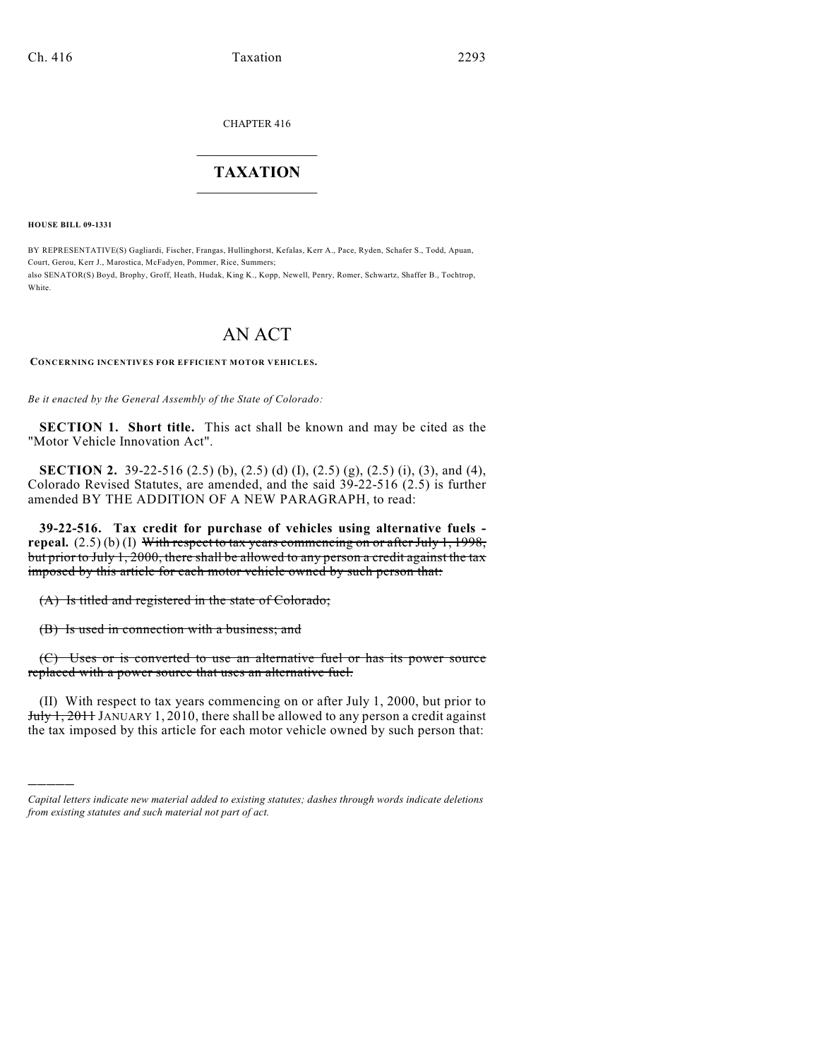CHAPTER 416

## $\overline{\phantom{a}}$  . The set of the set of the set of the set of the set of the set of the set of the set of the set of the set of the set of the set of the set of the set of the set of the set of the set of the set of the set o **TAXATION**  $\_$

**HOUSE BILL 09-1331**

)))))

BY REPRESENTATIVE(S) Gagliardi, Fischer, Frangas, Hullinghorst, Kefalas, Kerr A., Pace, Ryden, Schafer S., Todd, Apuan, Court, Gerou, Kerr J., Marostica, McFadyen, Pommer, Rice, Summers; also SENATOR(S) Boyd, Brophy, Groff, Heath, Hudak, King K., Kopp, Newell, Penry, Romer, Schwartz, Shaffer B., Tochtrop, White

# AN ACT

**CONCERNING INCENTIVES FOR EFFICIENT MOTOR VEHICLES.**

*Be it enacted by the General Assembly of the State of Colorado:*

**SECTION 1. Short title.** This act shall be known and may be cited as the "Motor Vehicle Innovation Act".

**SECTION 2.** 39-22-516 (2.5) (b), (2.5) (d) (I), (2.5) (g), (2.5) (i), (3), and (4), Colorado Revised Statutes, are amended, and the said 39-22-516 (2.5) is further amended BY THE ADDITION OF A NEW PARAGRAPH, to read:

**39-22-516. Tax credit for purchase of vehicles using alternative fuels repeal.** (2.5) (b) (I) With respect to tax years commencing on or after July 1, 1998, but prior to July 1, 2000, there shall be allowed to any person a credit against the tax imposed by this article for each motor vehicle owned by such person that:

(A) Is titled and registered in the state of Colorado;

(B) Is used in connection with a business; and

(C) Uses or is converted to use an alternative fuel or has its power source replaced with a power source that uses an alternative fuel.

(II) With respect to tax years commencing on or after July 1, 2000, but prior to July 1, 2011 JANUARY 1, 2010, there shall be allowed to any person a credit against the tax imposed by this article for each motor vehicle owned by such person that:

*Capital letters indicate new material added to existing statutes; dashes through words indicate deletions from existing statutes and such material not part of act.*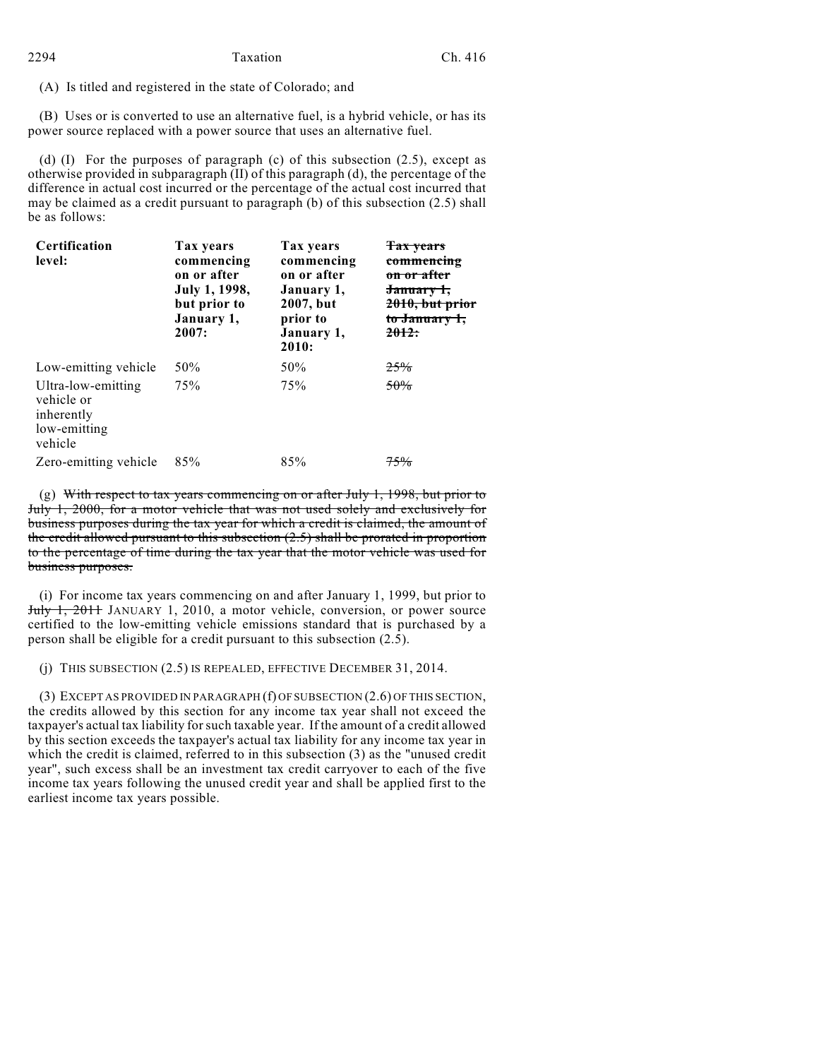(A) Is titled and registered in the state of Colorado; and

(B) Uses or is converted to use an alternative fuel, is a hybrid vehicle, or has its power source replaced with a power source that uses an alternative fuel.

(d) (I) For the purposes of paragraph (c) of this subsection (2.5), except as otherwise provided in subparagraph (II) of this paragraph (d), the percentage of the difference in actual cost incurred or the percentage of the actual cost incurred that may be claimed as a credit pursuant to paragraph (b) of this subsection (2.5) shall be as follows:

| Certification<br>level:                                                   | Tax years<br>commencing<br>on or after<br>July 1, 1998,<br>but prior to<br>January 1,<br>2007: | Tax years<br>commencing<br>on or after<br>January 1,<br>2007, but<br>prior to<br>January 1,<br>2010: | <b>Tax years</b><br>commencing<br><del>on or after</del><br>January 1,<br>2010, but prior<br>to January 1,<br><del>2012:</del> |
|---------------------------------------------------------------------------|------------------------------------------------------------------------------------------------|------------------------------------------------------------------------------------------------------|--------------------------------------------------------------------------------------------------------------------------------|
| Low-emitting vehicle                                                      | 50%                                                                                            | 50%                                                                                                  | 25%                                                                                                                            |
| Ultra-low-emitting<br>vehicle or<br>inherently<br>low-emitting<br>vehicle | 75%                                                                                            | 75%                                                                                                  | 50%                                                                                                                            |
| Zero-emitting vehicle                                                     | 85%                                                                                            | 85%                                                                                                  | 75%                                                                                                                            |

(g) With respect to tax years commencing on or after July 1, 1998, but prior to July 1, 2000, for a motor vehicle that was not used solely and exclusively for business purposes during the tax year for which a credit is claimed, the amount of the credit allowed pursuant to this subsection (2.5) shall be prorated in proportion to the percentage of time during the tax year that the motor vehicle was used for business purposes.

(i) For income tax years commencing on and after January 1, 1999, but prior to July 1, 2011 JANUARY 1, 2010, a motor vehicle, conversion, or power source certified to the low-emitting vehicle emissions standard that is purchased by a person shall be eligible for a credit pursuant to this subsection (2.5).

(j) THIS SUBSECTION (2.5) IS REPEALED, EFFECTIVE DECEMBER 31, 2014.

(3) EXCEPT AS PROVIDED IN PARAGRAPH (f) OF SUBSECTION (2.6) OF THIS SECTION, the credits allowed by this section for any income tax year shall not exceed the taxpayer's actual tax liability for such taxable year. If the amount of a credit allowed by this section exceeds the taxpayer's actual tax liability for any income tax year in which the credit is claimed, referred to in this subsection (3) as the "unused credit year", such excess shall be an investment tax credit carryover to each of the five income tax years following the unused credit year and shall be applied first to the earliest income tax years possible.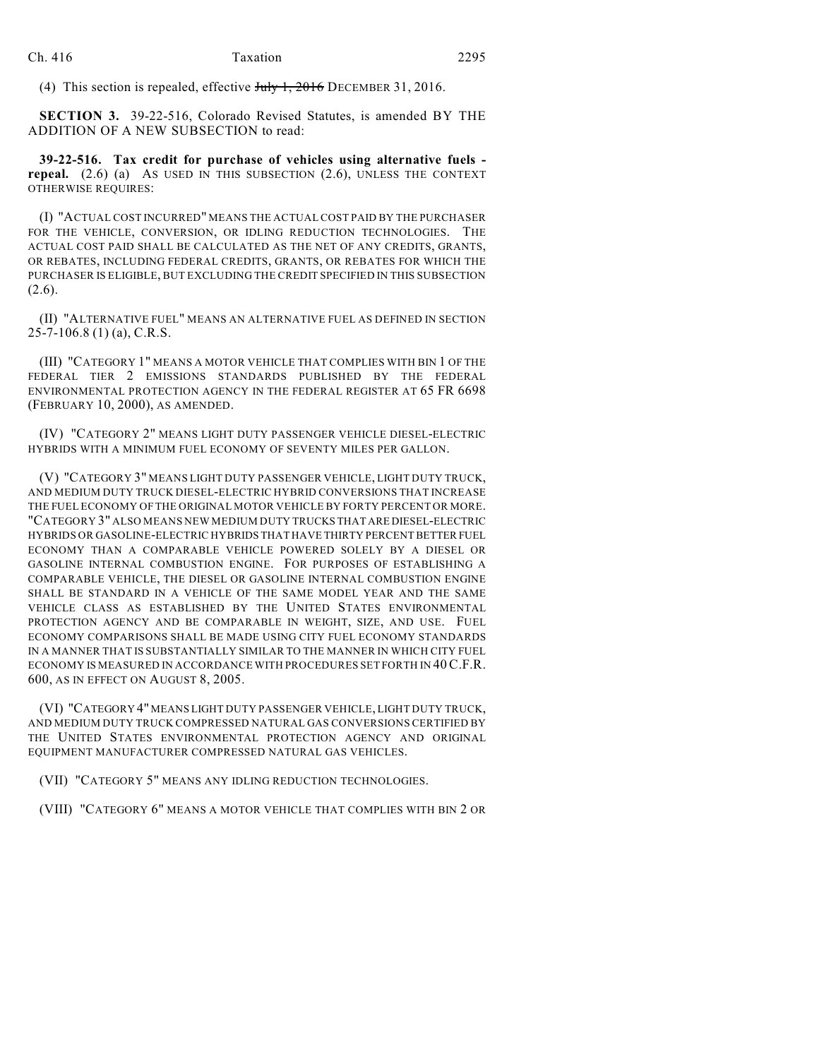(4) This section is repealed, effective July 1, 2016 DECEMBER 31, 2016.

**SECTION 3.** 39-22-516, Colorado Revised Statutes, is amended BY THE ADDITION OF A NEW SUBSECTION to read:

**39-22-516. Tax credit for purchase of vehicles using alternative fuels repeal.** (2.6) (a) AS USED IN THIS SUBSECTION (2.6), UNLESS THE CONTEXT OTHERWISE REQUIRES:

(I) "ACTUAL COST INCURRED" MEANS THE ACTUAL COST PAID BY THE PURCHASER FOR THE VEHICLE, CONVERSION, OR IDLING REDUCTION TECHNOLOGIES. THE ACTUAL COST PAID SHALL BE CALCULATED AS THE NET OF ANY CREDITS, GRANTS, OR REBATES, INCLUDING FEDERAL CREDITS, GRANTS, OR REBATES FOR WHICH THE PURCHASER IS ELIGIBLE, BUT EXCLUDING THE CREDIT SPECIFIED IN THIS SUBSECTION  $(2.6)$ .

(II) "ALTERNATIVE FUEL" MEANS AN ALTERNATIVE FUEL AS DEFINED IN SECTION 25-7-106.8 (1) (a), C.R.S.

(III) "CATEGORY 1" MEANS A MOTOR VEHICLE THAT COMPLIES WITH BIN 1 OF THE FEDERAL TIER 2 EMISSIONS STANDARDS PUBLISHED BY THE FEDERAL ENVIRONMENTAL PROTECTION AGENCY IN THE FEDERAL REGISTER AT 65 FR 6698 (FEBRUARY 10, 2000), AS AMENDED.

(IV) "CATEGORY 2" MEANS LIGHT DUTY PASSENGER VEHICLE DIESEL-ELECTRIC HYBRIDS WITH A MINIMUM FUEL ECONOMY OF SEVENTY MILES PER GALLON.

(V) "CATEGORY 3" MEANS LIGHT DUTY PASSENGER VEHICLE, LIGHT DUTY TRUCK, AND MEDIUM DUTY TRUCK DIESEL-ELECTRIC HYBRID CONVERSIONS THAT INCREASE THE FUEL ECONOMY OF THE ORIGINAL MOTOR VEHICLE BY FORTY PERCENT OR MORE. "CATEGORY 3" ALSO MEANS NEW MEDIUM DUTY TRUCKS THAT ARE DIESEL-ELECTRIC HYBRIDS OR GASOLINE-ELECTRIC HYBRIDS THAT HAVE THIRTY PERCENT BETTER FUEL ECONOMY THAN A COMPARABLE VEHICLE POWERED SOLELY BY A DIESEL OR GASOLINE INTERNAL COMBUSTION ENGINE. FOR PURPOSES OF ESTABLISHING A COMPARABLE VEHICLE, THE DIESEL OR GASOLINE INTERNAL COMBUSTION ENGINE SHALL BE STANDARD IN A VEHICLE OF THE SAME MODEL YEAR AND THE SAME VEHICLE CLASS AS ESTABLISHED BY THE UNITED STATES ENVIRONMENTAL PROTECTION AGENCY AND BE COMPARABLE IN WEIGHT, SIZE, AND USE. FUEL ECONOMY COMPARISONS SHALL BE MADE USING CITY FUEL ECONOMY STANDARDS IN A MANNER THAT IS SUBSTANTIALLY SIMILAR TO THE MANNER IN WHICH CITY FUEL ECONOMY IS MEASURED IN ACCORDANCE WITH PROCEDURES SET FORTH IN 40C.F.R. 600, AS IN EFFECT ON AUGUST 8, 2005.

(VI) "CATEGORY 4" MEANS LIGHT DUTY PASSENGER VEHICLE, LIGHT DUTY TRUCK, AND MEDIUM DUTY TRUCK COMPRESSED NATURAL GAS CONVERSIONS CERTIFIED BY THE UNITED STATES ENVIRONMENTAL PROTECTION AGENCY AND ORIGINAL EQUIPMENT MANUFACTURER COMPRESSED NATURAL GAS VEHICLES.

(VII) "CATEGORY 5" MEANS ANY IDLING REDUCTION TECHNOLOGIES.

(VIII) "CATEGORY 6" MEANS A MOTOR VEHICLE THAT COMPLIES WITH BIN 2 OR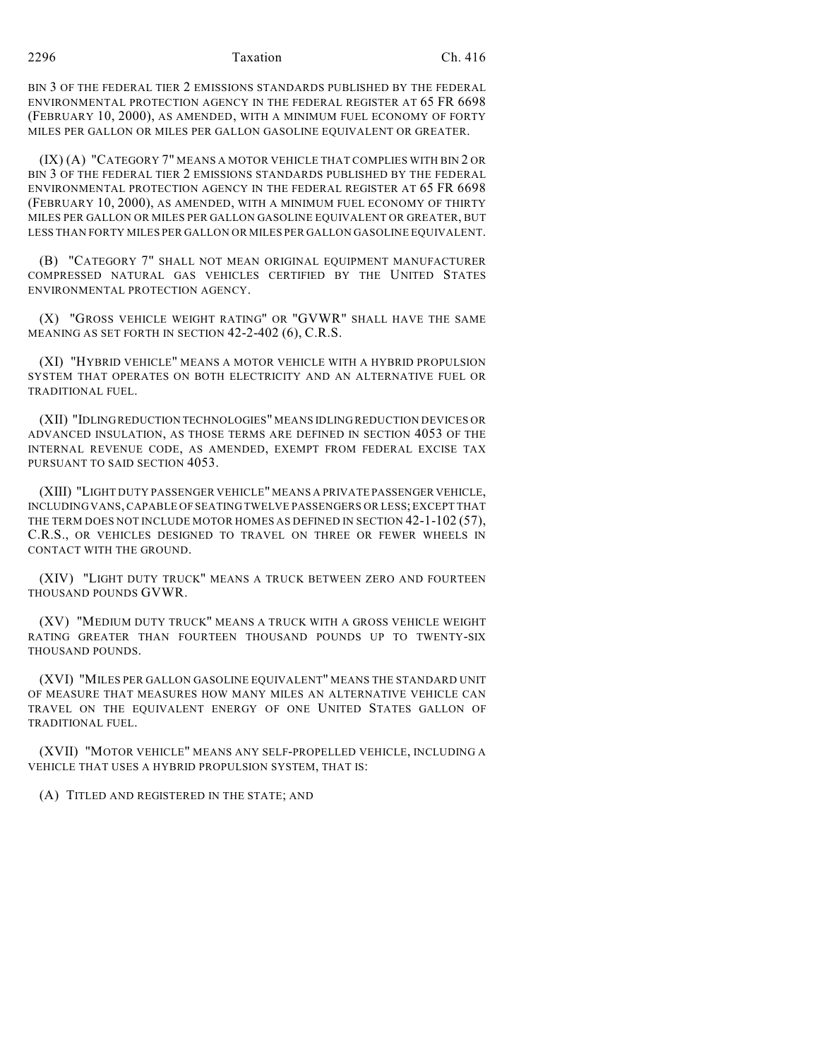BIN 3 OF THE FEDERAL TIER 2 EMISSIONS STANDARDS PUBLISHED BY THE FEDERAL ENVIRONMENTAL PROTECTION AGENCY IN THE FEDERAL REGISTER AT 65 FR 6698 (FEBRUARY 10, 2000), AS AMENDED, WITH A MINIMUM FUEL ECONOMY OF FORTY MILES PER GALLON OR MILES PER GALLON GASOLINE EQUIVALENT OR GREATER.

(IX) (A) "CATEGORY 7" MEANS A MOTOR VEHICLE THAT COMPLIES WITH BIN 2 OR BIN 3 OF THE FEDERAL TIER 2 EMISSIONS STANDARDS PUBLISHED BY THE FEDERAL ENVIRONMENTAL PROTECTION AGENCY IN THE FEDERAL REGISTER AT 65 FR 6698 (FEBRUARY 10, 2000), AS AMENDED, WITH A MINIMUM FUEL ECONOMY OF THIRTY MILES PER GALLON OR MILES PER GALLON GASOLINE EQUIVALENT OR GREATER, BUT LESS THAN FORTY MILES PER GALLON OR MILES PER GALLON GASOLINE EQUIVALENT.

(B) "CATEGORY 7" SHALL NOT MEAN ORIGINAL EQUIPMENT MANUFACTURER COMPRESSED NATURAL GAS VEHICLES CERTIFIED BY THE UNITED STATES ENVIRONMENTAL PROTECTION AGENCY.

(X) "GROSS VEHICLE WEIGHT RATING" OR "GVWR" SHALL HAVE THE SAME MEANING AS SET FORTH IN SECTION 42-2-402 (6), C.R.S.

(XI) "HYBRID VEHICLE" MEANS A MOTOR VEHICLE WITH A HYBRID PROPULSION SYSTEM THAT OPERATES ON BOTH ELECTRICITY AND AN ALTERNATIVE FUEL OR TRADITIONAL FUEL.

(XII) "IDLING REDUCTION TECHNOLOGIES" MEANS IDLING REDUCTION DEVICES OR ADVANCED INSULATION, AS THOSE TERMS ARE DEFINED IN SECTION 4053 OF THE INTERNAL REVENUE CODE, AS AMENDED, EXEMPT FROM FEDERAL EXCISE TAX PURSUANT TO SAID SECTION 4053.

(XIII) "LIGHT DUTY PASSENGER VEHICLE" MEANS A PRIVATE PASSENGER VEHICLE, INCLUDING VANS, CAPABLE OF SEATING TWELVE PASSENGERS OR LESS; EXCEPT THAT THE TERM DOES NOT INCLUDE MOTOR HOMES AS DEFINED IN SECTION 42-1-102 (57), C.R.S., OR VEHICLES DESIGNED TO TRAVEL ON THREE OR FEWER WHEELS IN CONTACT WITH THE GROUND.

(XIV) "LIGHT DUTY TRUCK" MEANS A TRUCK BETWEEN ZERO AND FOURTEEN THOUSAND POUNDS GVWR.

(XV) "MEDIUM DUTY TRUCK" MEANS A TRUCK WITH A GROSS VEHICLE WEIGHT RATING GREATER THAN FOURTEEN THOUSAND POUNDS UP TO TWENTY-SIX THOUSAND POUNDS.

(XVI) "MILES PER GALLON GASOLINE EQUIVALENT" MEANS THE STANDARD UNIT OF MEASURE THAT MEASURES HOW MANY MILES AN ALTERNATIVE VEHICLE CAN TRAVEL ON THE EQUIVALENT ENERGY OF ONE UNITED STATES GALLON OF TRADITIONAL FUEL.

(XVII) "MOTOR VEHICLE" MEANS ANY SELF-PROPELLED VEHICLE, INCLUDING A VEHICLE THAT USES A HYBRID PROPULSION SYSTEM, THAT IS:

(A) TITLED AND REGISTERED IN THE STATE; AND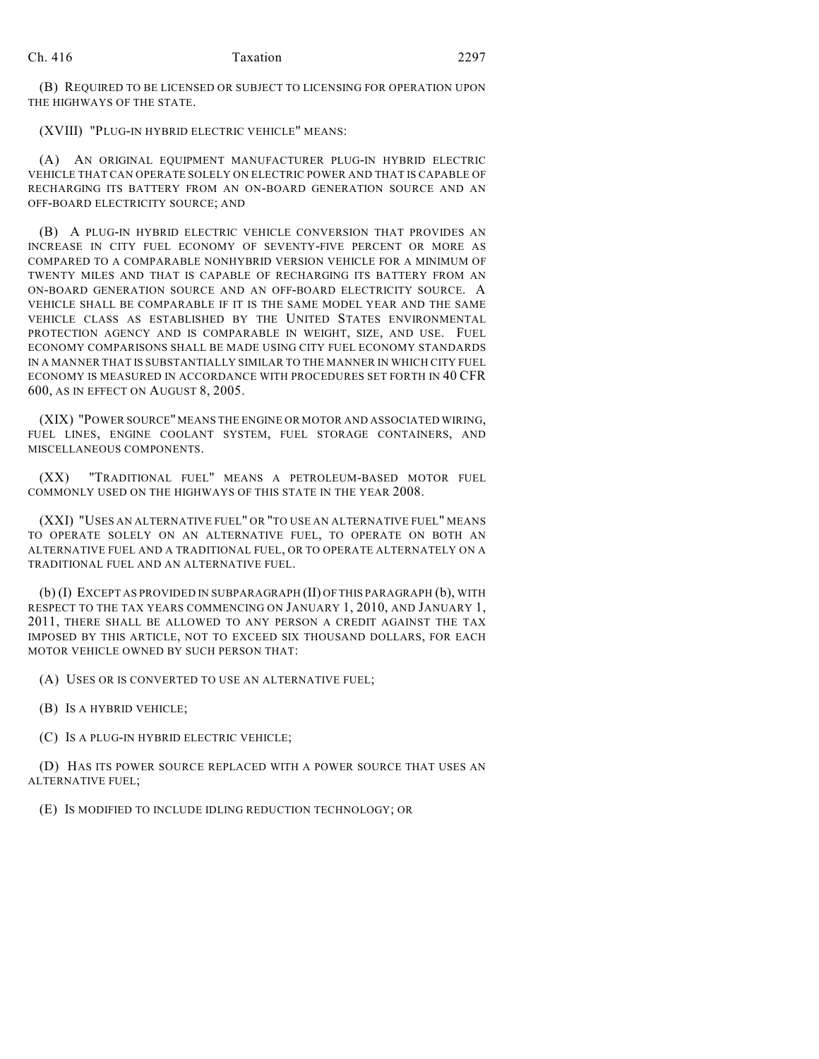(B) REQUIRED TO BE LICENSED OR SUBJECT TO LICENSING FOR OPERATION UPON THE HIGHWAYS OF THE STATE.

(XVIII) "PLUG-IN HYBRID ELECTRIC VEHICLE" MEANS:

(A) AN ORIGINAL EQUIPMENT MANUFACTURER PLUG-IN HYBRID ELECTRIC VEHICLE THAT CAN OPERATE SOLELY ON ELECTRIC POWER AND THAT IS CAPABLE OF RECHARGING ITS BATTERY FROM AN ON-BOARD GENERATION SOURCE AND AN OFF-BOARD ELECTRICITY SOURCE; AND

(B) A PLUG-IN HYBRID ELECTRIC VEHICLE CONVERSION THAT PROVIDES AN INCREASE IN CITY FUEL ECONOMY OF SEVENTY-FIVE PERCENT OR MORE AS COMPARED TO A COMPARABLE NONHYBRID VERSION VEHICLE FOR A MINIMUM OF TWENTY MILES AND THAT IS CAPABLE OF RECHARGING ITS BATTERY FROM AN ON-BOARD GENERATION SOURCE AND AN OFF-BOARD ELECTRICITY SOURCE. A VEHICLE SHALL BE COMPARABLE IF IT IS THE SAME MODEL YEAR AND THE SAME VEHICLE CLASS AS ESTABLISHED BY THE UNITED STATES ENVIRONMENTAL PROTECTION AGENCY AND IS COMPARABLE IN WEIGHT, SIZE, AND USE. FUEL ECONOMY COMPARISONS SHALL BE MADE USING CITY FUEL ECONOMY STANDARDS IN A MANNER THAT IS SUBSTANTIALLY SIMILAR TO THE MANNER IN WHICH CITY FUEL ECONOMY IS MEASURED IN ACCORDANCE WITH PROCEDURES SET FORTH IN 40 CFR 600, AS IN EFFECT ON AUGUST 8, 2005.

(XIX) "POWER SOURCE" MEANS THE ENGINE OR MOTOR AND ASSOCIATED WIRING, FUEL LINES, ENGINE COOLANT SYSTEM, FUEL STORAGE CONTAINERS, AND MISCELLANEOUS COMPONENTS.

(XX) "TRADITIONAL FUEL" MEANS A PETROLEUM-BASED MOTOR FUEL COMMONLY USED ON THE HIGHWAYS OF THIS STATE IN THE YEAR 2008.

(XXI) "USES AN ALTERNATIVE FUEL" OR "TO USE AN ALTERNATIVE FUEL" MEANS TO OPERATE SOLELY ON AN ALTERNATIVE FUEL, TO OPERATE ON BOTH AN ALTERNATIVE FUEL AND A TRADITIONAL FUEL, OR TO OPERATE ALTERNATELY ON A TRADITIONAL FUEL AND AN ALTERNATIVE FUEL.

(b) (I) EXCEPT AS PROVIDED IN SUBPARAGRAPH (II) OF THIS PARAGRAPH (b), WITH RESPECT TO THE TAX YEARS COMMENCING ON JANUARY 1, 2010, AND JANUARY 1, 2011, THERE SHALL BE ALLOWED TO ANY PERSON A CREDIT AGAINST THE TAX IMPOSED BY THIS ARTICLE, NOT TO EXCEED SIX THOUSAND DOLLARS, FOR EACH MOTOR VEHICLE OWNED BY SUCH PERSON THAT:

(A) USES OR IS CONVERTED TO USE AN ALTERNATIVE FUEL;

(B) IS A HYBRID VEHICLE;

(C) IS A PLUG-IN HYBRID ELECTRIC VEHICLE;

(D) HAS ITS POWER SOURCE REPLACED WITH A POWER SOURCE THAT USES AN ALTERNATIVE FUEL;

(E) IS MODIFIED TO INCLUDE IDLING REDUCTION TECHNOLOGY; OR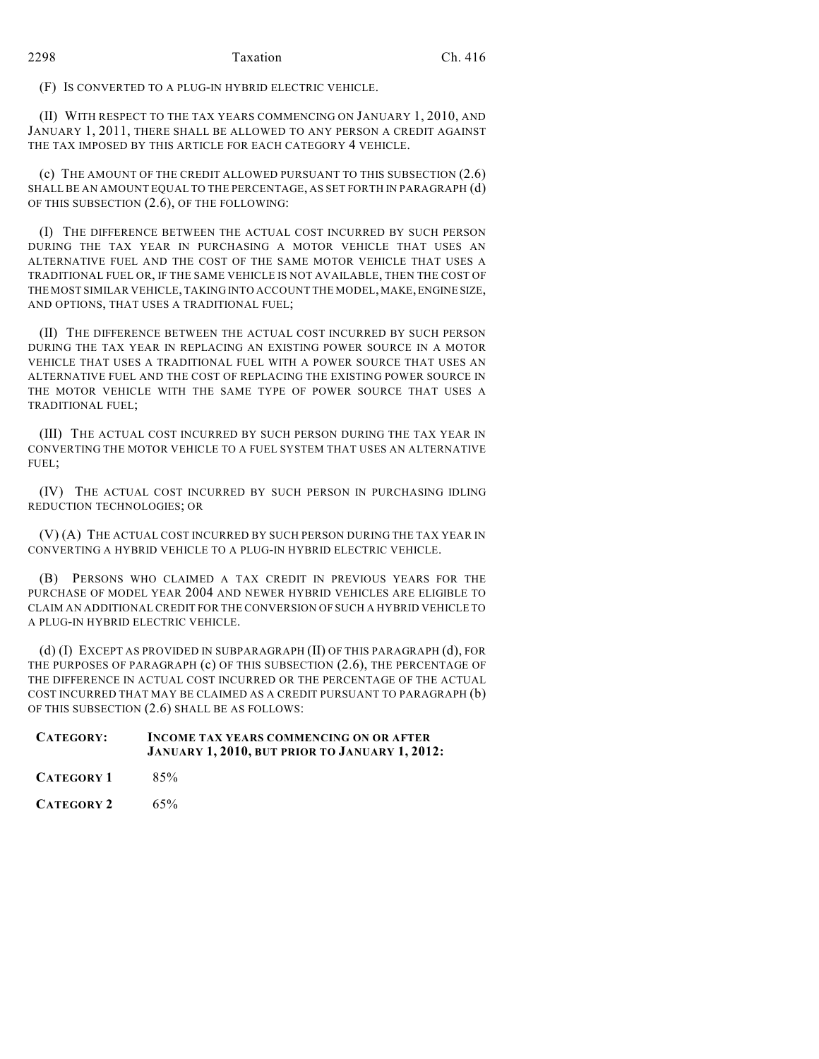(F) IS CONVERTED TO A PLUG-IN HYBRID ELECTRIC VEHICLE.

(II) WITH RESPECT TO THE TAX YEARS COMMENCING ON JANUARY 1, 2010, AND JANUARY 1, 2011, THERE SHALL BE ALLOWED TO ANY PERSON A CREDIT AGAINST THE TAX IMPOSED BY THIS ARTICLE FOR EACH CATEGORY 4 VEHICLE.

(c) THE AMOUNT OF THE CREDIT ALLOWED PURSUANT TO THIS SUBSECTION (2.6) SHALL BE AN AMOUNT EQUAL TO THE PERCENTAGE, AS SET FORTH IN PARAGRAPH (d) OF THIS SUBSECTION (2.6), OF THE FOLLOWING:

(I) THE DIFFERENCE BETWEEN THE ACTUAL COST INCURRED BY SUCH PERSON DURING THE TAX YEAR IN PURCHASING A MOTOR VEHICLE THAT USES AN ALTERNATIVE FUEL AND THE COST OF THE SAME MOTOR VEHICLE THAT USES A TRADITIONAL FUEL OR, IF THE SAME VEHICLE IS NOT AVAILABLE, THEN THE COST OF THE MOST SIMILAR VEHICLE, TAKING INTO ACCOUNT THE MODEL, MAKE, ENGINE SIZE, AND OPTIONS, THAT USES A TRADITIONAL FUEL;

(II) THE DIFFERENCE BETWEEN THE ACTUAL COST INCURRED BY SUCH PERSON DURING THE TAX YEAR IN REPLACING AN EXISTING POWER SOURCE IN A MOTOR VEHICLE THAT USES A TRADITIONAL FUEL WITH A POWER SOURCE THAT USES AN ALTERNATIVE FUEL AND THE COST OF REPLACING THE EXISTING POWER SOURCE IN THE MOTOR VEHICLE WITH THE SAME TYPE OF POWER SOURCE THAT USES A TRADITIONAL FUEL;

(III) THE ACTUAL COST INCURRED BY SUCH PERSON DURING THE TAX YEAR IN CONVERTING THE MOTOR VEHICLE TO A FUEL SYSTEM THAT USES AN ALTERNATIVE FUEL;

(IV) THE ACTUAL COST INCURRED BY SUCH PERSON IN PURCHASING IDLING REDUCTION TECHNOLOGIES; OR

(V) (A) THE ACTUAL COST INCURRED BY SUCH PERSON DURING THE TAX YEAR IN CONVERTING A HYBRID VEHICLE TO A PLUG-IN HYBRID ELECTRIC VEHICLE.

(B) PERSONS WHO CLAIMED A TAX CREDIT IN PREVIOUS YEARS FOR THE PURCHASE OF MODEL YEAR 2004 AND NEWER HYBRID VEHICLES ARE ELIGIBLE TO CLAIM AN ADDITIONAL CREDIT FOR THE CONVERSION OF SUCH A HYBRID VEHICLE TO A PLUG-IN HYBRID ELECTRIC VEHICLE.

(d) (I) EXCEPT AS PROVIDED IN SUBPARAGRAPH (II) OF THIS PARAGRAPH (d), FOR THE PURPOSES OF PARAGRAPH (c) OF THIS SUBSECTION (2.6), THE PERCENTAGE OF THE DIFFERENCE IN ACTUAL COST INCURRED OR THE PERCENTAGE OF THE ACTUAL COST INCURRED THAT MAY BE CLAIMED AS A CREDIT PURSUANT TO PARAGRAPH (b) OF THIS SUBSECTION (2.6) SHALL BE AS FOLLOWS:

| CATEGORY:         | <b>INCOME TAX YEARS COMMENCING ON OR AFTER</b><br>JANUARY 1, 2010, BUT PRIOR TO JANUARY 1, 2012: |  |  |
|-------------------|--------------------------------------------------------------------------------------------------|--|--|
| <b>CATEGORY 1</b> | $85\%$                                                                                           |  |  |

**CATEGORY 2** 65%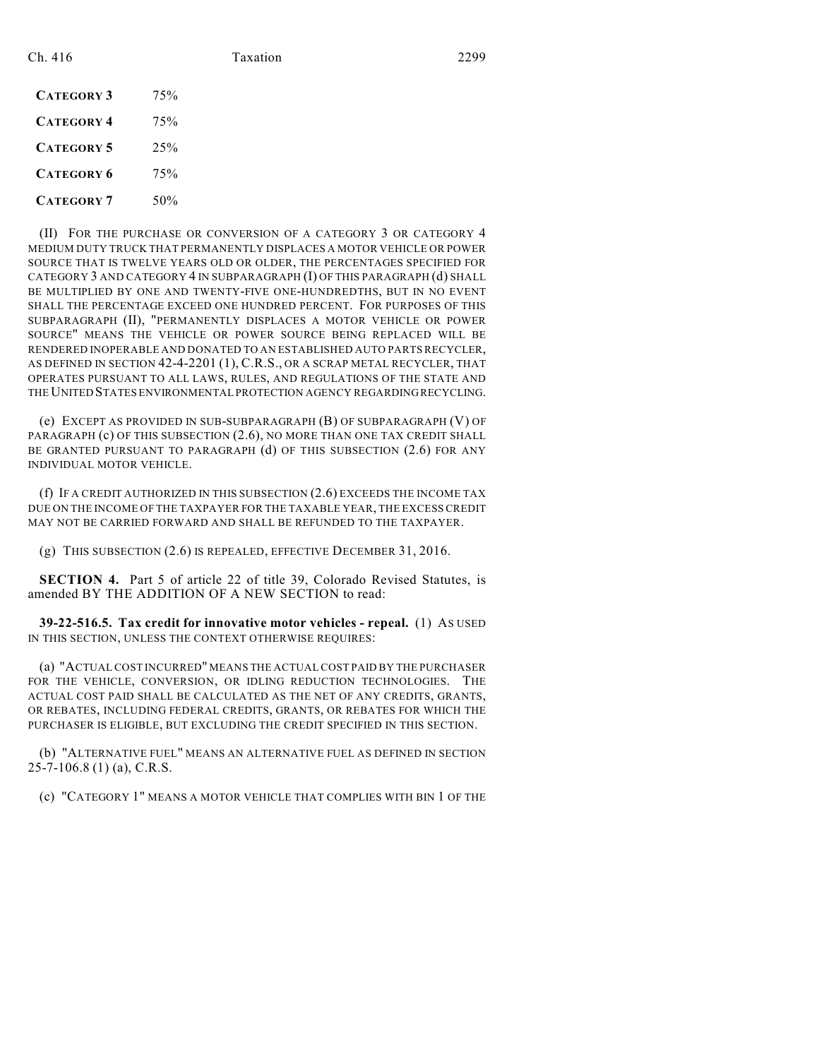| <b>CATEGORY 3</b> | 75%     |
|-------------------|---------|
| <b>CATEGORY 4</b> | 75%     |
| <b>CATEGORY 5</b> | $2.5\%$ |
| <b>CATEGORY 6</b> | 75%     |
| <b>CATEGORY 7</b> | 50%     |

(II) FOR THE PURCHASE OR CONVERSION OF A CATEGORY 3 OR CATEGORY 4 MEDIUM DUTY TRUCK THAT PERMANENTLY DISPLACES A MOTOR VEHICLE OR POWER SOURCE THAT IS TWELVE YEARS OLD OR OLDER, THE PERCENTAGES SPECIFIED FOR CATEGORY 3 AND CATEGORY 4 IN SUBPARAGRAPH (I) OF THIS PARAGRAPH (d) SHALL BE MULTIPLIED BY ONE AND TWENTY-FIVE ONE-HUNDREDTHS, BUT IN NO EVENT SHALL THE PERCENTAGE EXCEED ONE HUNDRED PERCENT. FOR PURPOSES OF THIS SUBPARAGRAPH (II), "PERMANENTLY DISPLACES A MOTOR VEHICLE OR POWER SOURCE" MEANS THE VEHICLE OR POWER SOURCE BEING REPLACED WILL BE RENDERED INOPERABLE AND DONATED TO AN ESTABLISHED AUTO PARTS RECYCLER, AS DEFINED IN SECTION 42-4-2201 (1), C.R.S., OR A SCRAP METAL RECYCLER, THAT OPERATES PURSUANT TO ALL LAWS, RULES, AND REGULATIONS OF THE STATE AND THE UNITED STATES ENVIRONMENTAL PROTECTION AGENCY REGARDING RECYCLING.

(e) EXCEPT AS PROVIDED IN SUB-SUBPARAGRAPH (B) OF SUBPARAGRAPH (V) OF PARAGRAPH (c) OF THIS SUBSECTION (2.6), NO MORE THAN ONE TAX CREDIT SHALL BE GRANTED PURSUANT TO PARAGRAPH (d) OF THIS SUBSECTION (2.6) FOR ANY INDIVIDUAL MOTOR VEHICLE.

(f) IF A CREDIT AUTHORIZED IN THIS SUBSECTION (2.6) EXCEEDS THE INCOME TAX DUE ON THE INCOME OF THE TAXPAYER FOR THE TAXABLE YEAR, THE EXCESS CREDIT MAY NOT BE CARRIED FORWARD AND SHALL BE REFUNDED TO THE TAXPAYER.

(g) THIS SUBSECTION (2.6) IS REPEALED, EFFECTIVE DECEMBER 31, 2016.

**SECTION 4.** Part 5 of article 22 of title 39, Colorado Revised Statutes, is amended BY THE ADDITION OF A NEW SECTION to read:

**39-22-516.5. Tax credit for innovative motor vehicles - repeal.** (1) AS USED IN THIS SECTION, UNLESS THE CONTEXT OTHERWISE REQUIRES:

(a) "ACTUAL COST INCURRED" MEANS THE ACTUAL COST PAID BY THE PURCHASER FOR THE VEHICLE, CONVERSION, OR IDLING REDUCTION TECHNOLOGIES. THE ACTUAL COST PAID SHALL BE CALCULATED AS THE NET OF ANY CREDITS, GRANTS, OR REBATES, INCLUDING FEDERAL CREDITS, GRANTS, OR REBATES FOR WHICH THE PURCHASER IS ELIGIBLE, BUT EXCLUDING THE CREDIT SPECIFIED IN THIS SECTION.

(b) "ALTERNATIVE FUEL" MEANS AN ALTERNATIVE FUEL AS DEFINED IN SECTION 25-7-106.8 (1) (a), C.R.S.

(c) "CATEGORY 1" MEANS A MOTOR VEHICLE THAT COMPLIES WITH BIN 1 OF THE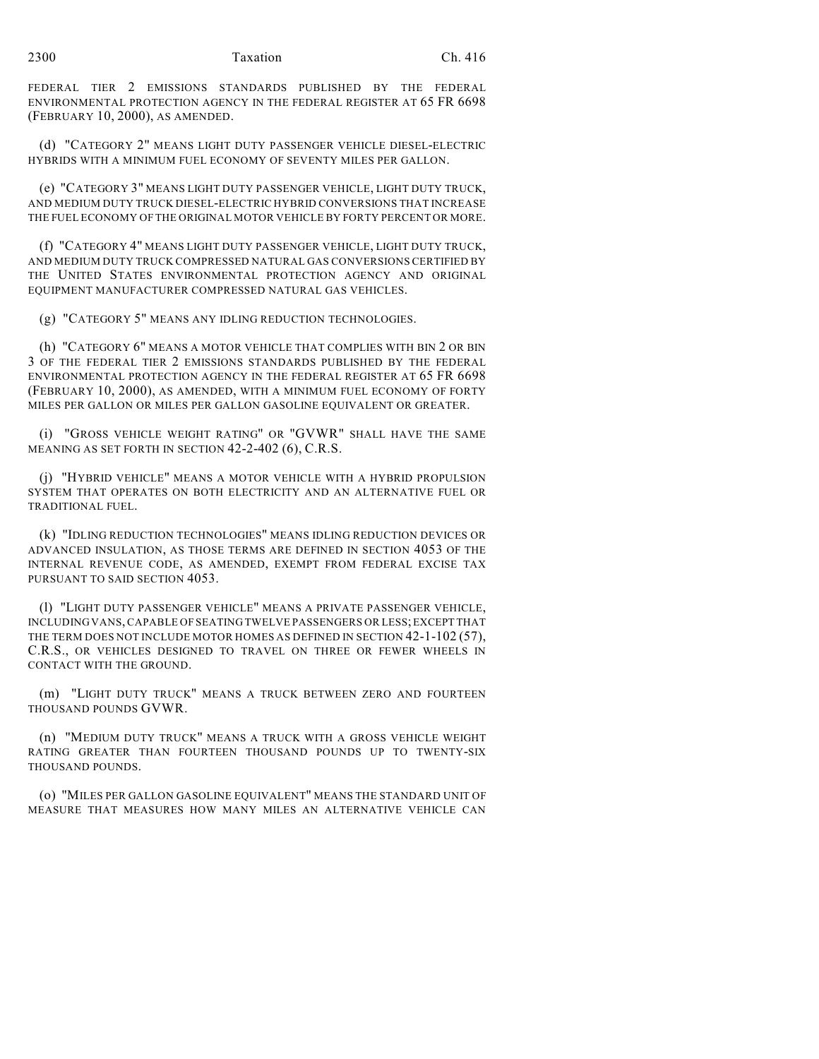FEDERAL TIER 2 EMISSIONS STANDARDS PUBLISHED BY THE FEDERAL ENVIRONMENTAL PROTECTION AGENCY IN THE FEDERAL REGISTER AT 65 FR 6698 (FEBRUARY 10, 2000), AS AMENDED.

(d) "CATEGORY 2" MEANS LIGHT DUTY PASSENGER VEHICLE DIESEL-ELECTRIC HYBRIDS WITH A MINIMUM FUEL ECONOMY OF SEVENTY MILES PER GALLON.

(e) "CATEGORY 3" MEANS LIGHT DUTY PASSENGER VEHICLE, LIGHT DUTY TRUCK, AND MEDIUM DUTY TRUCK DIESEL-ELECTRIC HYBRID CONVERSIONS THAT INCREASE THE FUEL ECONOMY OF THE ORIGINAL MOTOR VEHICLE BY FORTY PERCENT OR MORE.

(f) "CATEGORY 4" MEANS LIGHT DUTY PASSENGER VEHICLE, LIGHT DUTY TRUCK, AND MEDIUM DUTY TRUCK COMPRESSED NATURAL GAS CONVERSIONS CERTIFIED BY THE UNITED STATES ENVIRONMENTAL PROTECTION AGENCY AND ORIGINAL EQUIPMENT MANUFACTURER COMPRESSED NATURAL GAS VEHICLES.

(g) "CATEGORY 5" MEANS ANY IDLING REDUCTION TECHNOLOGIES.

(h) "CATEGORY 6" MEANS A MOTOR VEHICLE THAT COMPLIES WITH BIN 2 OR BIN 3 OF THE FEDERAL TIER 2 EMISSIONS STANDARDS PUBLISHED BY THE FEDERAL ENVIRONMENTAL PROTECTION AGENCY IN THE FEDERAL REGISTER AT 65 FR 6698 (FEBRUARY 10, 2000), AS AMENDED, WITH A MINIMUM FUEL ECONOMY OF FORTY MILES PER GALLON OR MILES PER GALLON GASOLINE EQUIVALENT OR GREATER.

(i) "GROSS VEHICLE WEIGHT RATING" OR "GVWR" SHALL HAVE THE SAME MEANING AS SET FORTH IN SECTION 42-2-402 (6), C.R.S.

(j) "HYBRID VEHICLE" MEANS A MOTOR VEHICLE WITH A HYBRID PROPULSION SYSTEM THAT OPERATES ON BOTH ELECTRICITY AND AN ALTERNATIVE FUEL OR TRADITIONAL FUEL.

(k) "IDLING REDUCTION TECHNOLOGIES" MEANS IDLING REDUCTION DEVICES OR ADVANCED INSULATION, AS THOSE TERMS ARE DEFINED IN SECTION 4053 OF THE INTERNAL REVENUE CODE, AS AMENDED, EXEMPT FROM FEDERAL EXCISE TAX PURSUANT TO SAID SECTION 4053.

(l) "LIGHT DUTY PASSENGER VEHICLE" MEANS A PRIVATE PASSENGER VEHICLE, INCLUDING VANS, CAPABLE OF SEATING TWELVE PASSENGERS OR LESS; EXCEPT THAT THE TERM DOES NOT INCLUDE MOTOR HOMES AS DEFINED IN SECTION 42-1-102 (57), C.R.S., OR VEHICLES DESIGNED TO TRAVEL ON THREE OR FEWER WHEELS IN CONTACT WITH THE GROUND.

(m) "LIGHT DUTY TRUCK" MEANS A TRUCK BETWEEN ZERO AND FOURTEEN THOUSAND POUNDS GVWR.

(n) "MEDIUM DUTY TRUCK" MEANS A TRUCK WITH A GROSS VEHICLE WEIGHT RATING GREATER THAN FOURTEEN THOUSAND POUNDS UP TO TWENTY-SIX THOUSAND POUNDS.

(o) "MILES PER GALLON GASOLINE EQUIVALENT" MEANS THE STANDARD UNIT OF MEASURE THAT MEASURES HOW MANY MILES AN ALTERNATIVE VEHICLE CAN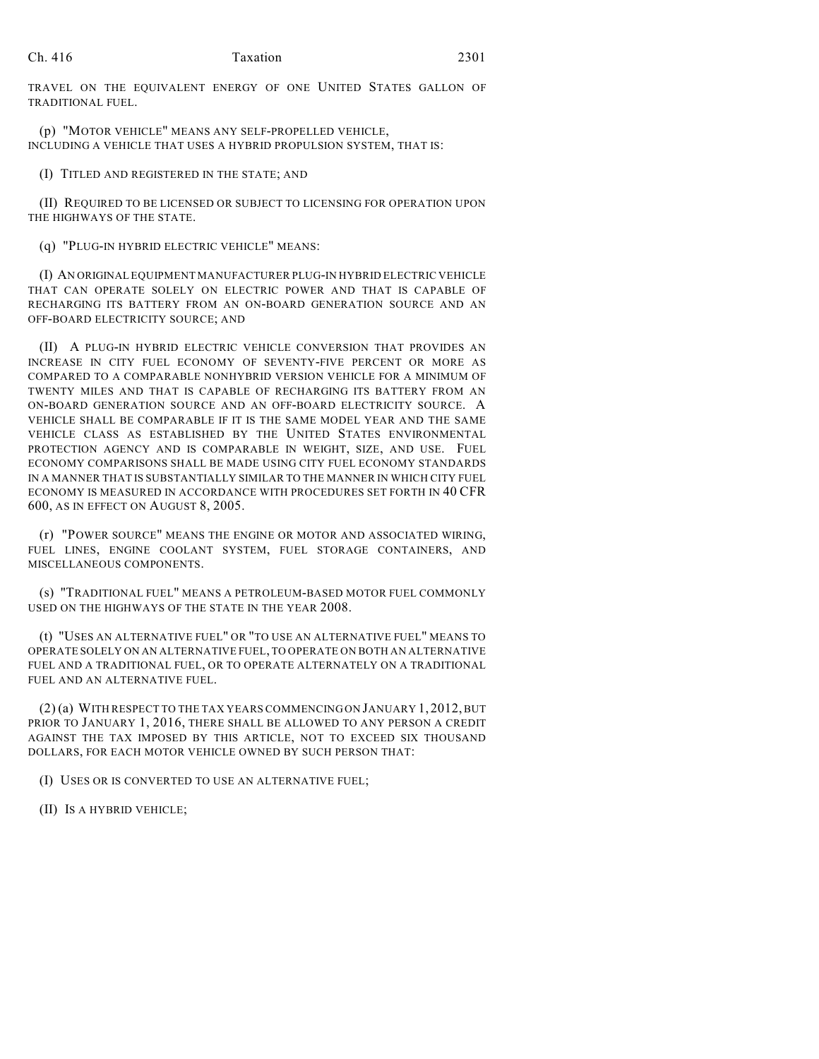TRAVEL ON THE EQUIVALENT ENERGY OF ONE UNITED STATES GALLON OF TRADITIONAL FUEL.

(p) "MOTOR VEHICLE" MEANS ANY SELF-PROPELLED VEHICLE, INCLUDING A VEHICLE THAT USES A HYBRID PROPULSION SYSTEM, THAT IS:

(I) TITLED AND REGISTERED IN THE STATE; AND

(II) REQUIRED TO BE LICENSED OR SUBJECT TO LICENSING FOR OPERATION UPON THE HIGHWAYS OF THE STATE.

(q) "PLUG-IN HYBRID ELECTRIC VEHICLE" MEANS:

(I) AN ORIGINAL EQUIPMENT MANUFACTURER PLUG-IN HYBRID ELECTRIC VEHICLE THAT CAN OPERATE SOLELY ON ELECTRIC POWER AND THAT IS CAPABLE OF RECHARGING ITS BATTERY FROM AN ON-BOARD GENERATION SOURCE AND AN OFF-BOARD ELECTRICITY SOURCE; AND

(II) A PLUG-IN HYBRID ELECTRIC VEHICLE CONVERSION THAT PROVIDES AN INCREASE IN CITY FUEL ECONOMY OF SEVENTY-FIVE PERCENT OR MORE AS COMPARED TO A COMPARABLE NONHYBRID VERSION VEHICLE FOR A MINIMUM OF TWENTY MILES AND THAT IS CAPABLE OF RECHARGING ITS BATTERY FROM AN ON-BOARD GENERATION SOURCE AND AN OFF-BOARD ELECTRICITY SOURCE. A VEHICLE SHALL BE COMPARABLE IF IT IS THE SAME MODEL YEAR AND THE SAME VEHICLE CLASS AS ESTABLISHED BY THE UNITED STATES ENVIRONMENTAL PROTECTION AGENCY AND IS COMPARABLE IN WEIGHT, SIZE, AND USE. FUEL ECONOMY COMPARISONS SHALL BE MADE USING CITY FUEL ECONOMY STANDARDS IN A MANNER THAT IS SUBSTANTIALLY SIMILAR TO THE MANNER IN WHICH CITY FUEL ECONOMY IS MEASURED IN ACCORDANCE WITH PROCEDURES SET FORTH IN 40 CFR 600, AS IN EFFECT ON AUGUST 8, 2005.

(r) "POWER SOURCE" MEANS THE ENGINE OR MOTOR AND ASSOCIATED WIRING, FUEL LINES, ENGINE COOLANT SYSTEM, FUEL STORAGE CONTAINERS, AND MISCELLANEOUS COMPONENTS.

(s) "TRADITIONAL FUEL" MEANS A PETROLEUM-BASED MOTOR FUEL COMMONLY USED ON THE HIGHWAYS OF THE STATE IN THE YEAR 2008.

(t) "USES AN ALTERNATIVE FUEL" OR "TO USE AN ALTERNATIVE FUEL" MEANS TO OPERATE SOLELY ON AN ALTERNATIVE FUEL, TO OPERATE ON BOTH AN ALTERNATIVE FUEL AND A TRADITIONAL FUEL, OR TO OPERATE ALTERNATELY ON A TRADITIONAL FUEL AND AN ALTERNATIVE FUEL.

(2) (a) WITH RESPECT TO THE TAX YEARS COMMENCING ON JANUARY 1, 2012, BUT PRIOR TO JANUARY 1, 2016, THERE SHALL BE ALLOWED TO ANY PERSON A CREDIT AGAINST THE TAX IMPOSED BY THIS ARTICLE, NOT TO EXCEED SIX THOUSAND DOLLARS, FOR EACH MOTOR VEHICLE OWNED BY SUCH PERSON THAT:

(I) USES OR IS CONVERTED TO USE AN ALTERNATIVE FUEL;

(II) IS A HYBRID VEHICLE;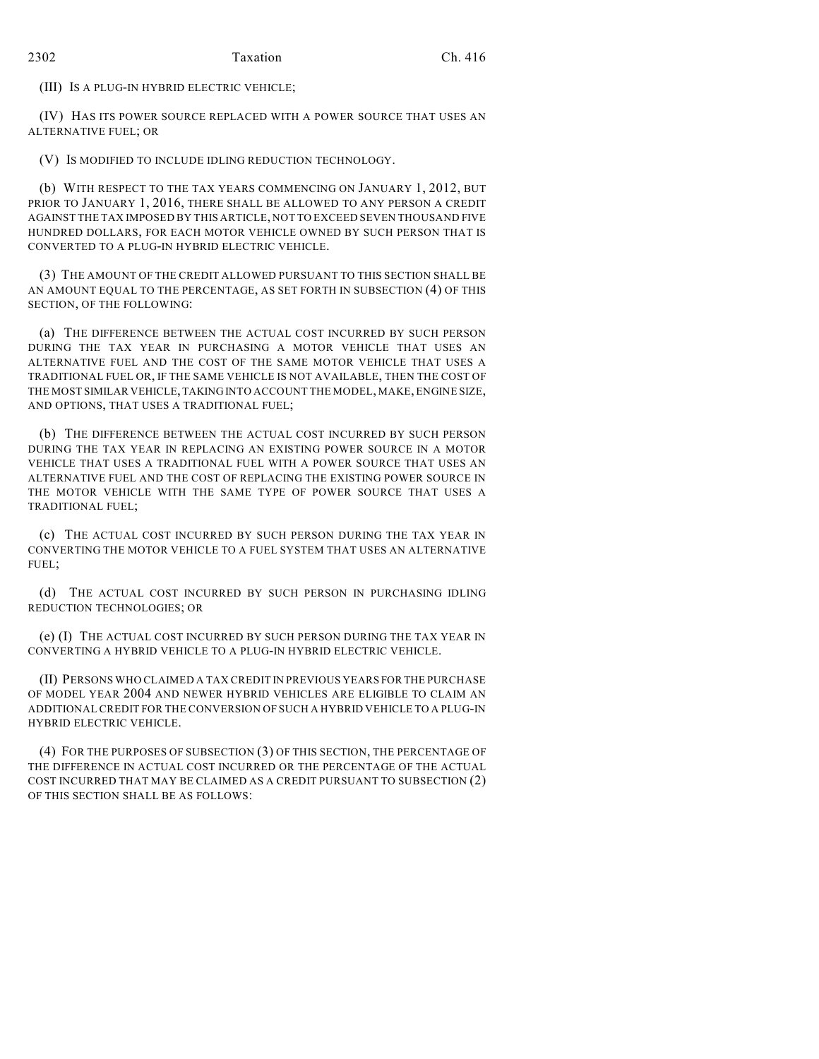(III) IS A PLUG-IN HYBRID ELECTRIC VEHICLE;

(IV) HAS ITS POWER SOURCE REPLACED WITH A POWER SOURCE THAT USES AN ALTERNATIVE FUEL; OR

(V) IS MODIFIED TO INCLUDE IDLING REDUCTION TECHNOLOGY.

(b) WITH RESPECT TO THE TAX YEARS COMMENCING ON JANUARY 1, 2012, BUT PRIOR TO JANUARY 1, 2016, THERE SHALL BE ALLOWED TO ANY PERSON A CREDIT AGAINST THE TAX IMPOSED BY THIS ARTICLE, NOT TO EXCEED SEVEN THOUSAND FIVE HUNDRED DOLLARS, FOR EACH MOTOR VEHICLE OWNED BY SUCH PERSON THAT IS CONVERTED TO A PLUG-IN HYBRID ELECTRIC VEHICLE.

(3) THE AMOUNT OF THE CREDIT ALLOWED PURSUANT TO THIS SECTION SHALL BE AN AMOUNT EQUAL TO THE PERCENTAGE, AS SET FORTH IN SUBSECTION (4) OF THIS SECTION, OF THE FOLLOWING:

(a) THE DIFFERENCE BETWEEN THE ACTUAL COST INCURRED BY SUCH PERSON DURING THE TAX YEAR IN PURCHASING A MOTOR VEHICLE THAT USES AN ALTERNATIVE FUEL AND THE COST OF THE SAME MOTOR VEHICLE THAT USES A TRADITIONAL FUEL OR, IF THE SAME VEHICLE IS NOT AVAILABLE, THEN THE COST OF THE MOST SIMILAR VEHICLE, TAKING INTO ACCOUNT THE MODEL, MAKE, ENGINE SIZE, AND OPTIONS, THAT USES A TRADITIONAL FUEL;

(b) THE DIFFERENCE BETWEEN THE ACTUAL COST INCURRED BY SUCH PERSON DURING THE TAX YEAR IN REPLACING AN EXISTING POWER SOURCE IN A MOTOR VEHICLE THAT USES A TRADITIONAL FUEL WITH A POWER SOURCE THAT USES AN ALTERNATIVE FUEL AND THE COST OF REPLACING THE EXISTING POWER SOURCE IN THE MOTOR VEHICLE WITH THE SAME TYPE OF POWER SOURCE THAT USES A TRADITIONAL FUEL;

(c) THE ACTUAL COST INCURRED BY SUCH PERSON DURING THE TAX YEAR IN CONVERTING THE MOTOR VEHICLE TO A FUEL SYSTEM THAT USES AN ALTERNATIVE FUEL;

(d) THE ACTUAL COST INCURRED BY SUCH PERSON IN PURCHASING IDLING REDUCTION TECHNOLOGIES; OR

(e) (I) THE ACTUAL COST INCURRED BY SUCH PERSON DURING THE TAX YEAR IN CONVERTING A HYBRID VEHICLE TO A PLUG-IN HYBRID ELECTRIC VEHICLE.

(II) PERSONS WHO CLAIMED A TAX CREDIT IN PREVIOUS YEARS FOR THE PURCHASE OF MODEL YEAR 2004 AND NEWER HYBRID VEHICLES ARE ELIGIBLE TO CLAIM AN ADDITIONAL CREDIT FOR THE CONVERSION OF SUCH A HYBRID VEHICLE TO A PLUG-IN HYBRID ELECTRIC VEHICLE.

(4) FOR THE PURPOSES OF SUBSECTION (3) OF THIS SECTION, THE PERCENTAGE OF THE DIFFERENCE IN ACTUAL COST INCURRED OR THE PERCENTAGE OF THE ACTUAL COST INCURRED THAT MAY BE CLAIMED AS A CREDIT PURSUANT TO SUBSECTION (2) OF THIS SECTION SHALL BE AS FOLLOWS: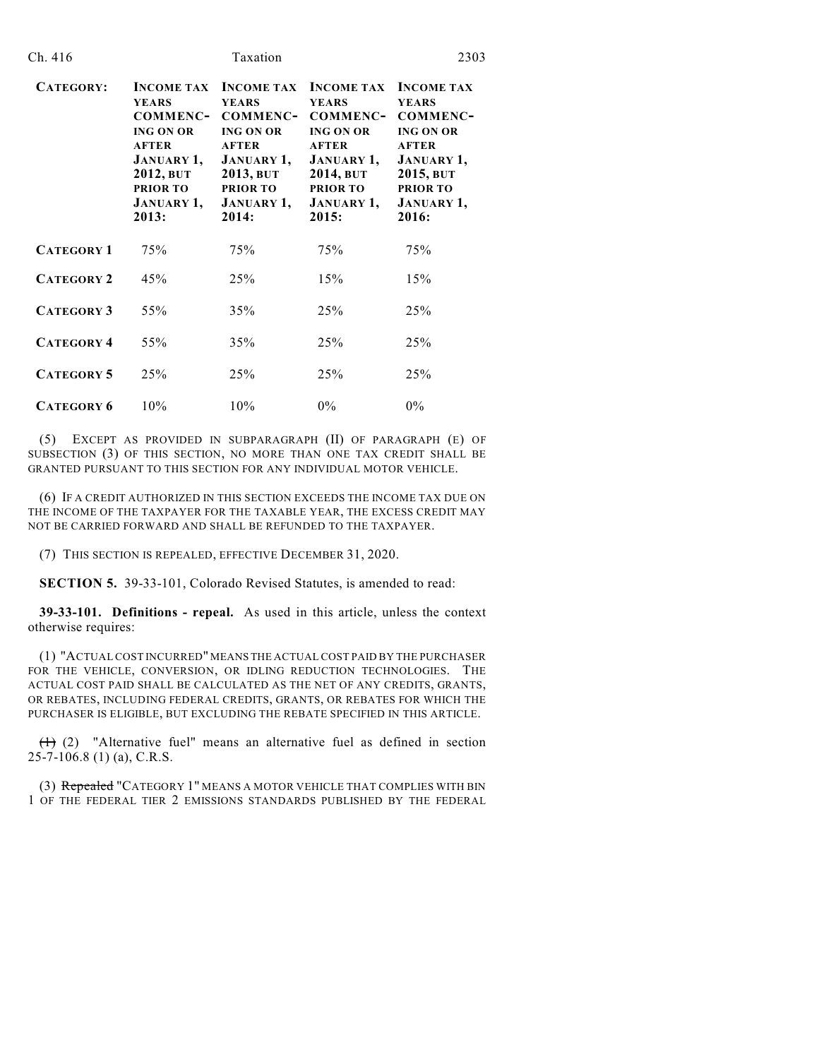| Ch. 416           | Taxation                                                                                                                                                                    |                                                                                                                                                                             |                                                                                                                                                                      | 2303                                                                                                                                                                 |  |
|-------------------|-----------------------------------------------------------------------------------------------------------------------------------------------------------------------------|-----------------------------------------------------------------------------------------------------------------------------------------------------------------------------|----------------------------------------------------------------------------------------------------------------------------------------------------------------------|----------------------------------------------------------------------------------------------------------------------------------------------------------------------|--|
| CATEGORY:         | <b>INCOME TAX</b><br><b>YEARS</b><br><b>COMMENC-</b><br><b>ING ON OR</b><br><b>AFTER</b><br><b>JANUARY 1,</b><br>2012, BUT<br><b>PRIOR TO</b><br><b>JANUARY 1,</b><br>2013: | <b>INCOME TAX</b><br><b>YEARS</b><br><b>COMMENC-</b><br><b>ING ON OR</b><br><b>AFTER</b><br><b>JANUARY 1,</b><br>2013, BUT<br><b>PRIOR TO</b><br><b>JANUARY 1,</b><br>2014: | <b>INCOME TAX</b><br><b>YEARS</b><br>COMMENC-<br><b>ING ON OR</b><br><b>AFTER</b><br><b>JANUARY 1,</b><br>2014, BUT<br><b>PRIOR TO</b><br><b>JANUARY 1,</b><br>2015: | <b>INCOME TAX</b><br><b>YEARS</b><br>COMMENC-<br><b>ING ON OR</b><br><b>AFTER</b><br><b>JANUARY 1,</b><br>2015, BUT<br><b>PRIOR TO</b><br><b>JANUARY 1,</b><br>2016: |  |
| <b>CATEGORY 1</b> | 75%                                                                                                                                                                         | 75%                                                                                                                                                                         | 75%                                                                                                                                                                  | 75%                                                                                                                                                                  |  |
| <b>CATEGORY 2</b> | 45%                                                                                                                                                                         | 25%                                                                                                                                                                         | 15%                                                                                                                                                                  | 15%                                                                                                                                                                  |  |
| <b>CATEGORY 3</b> | 55%                                                                                                                                                                         | 35%                                                                                                                                                                         | 25%                                                                                                                                                                  | 25%                                                                                                                                                                  |  |
| <b>CATEGORY 4</b> | 55%                                                                                                                                                                         | 35%                                                                                                                                                                         | 25%                                                                                                                                                                  | 25%                                                                                                                                                                  |  |
| <b>CATEGORY 5</b> | 25%                                                                                                                                                                         | 25%                                                                                                                                                                         | 25%                                                                                                                                                                  | 25%                                                                                                                                                                  |  |
| <b>CATEGORY 6</b> | 10%                                                                                                                                                                         | 10%                                                                                                                                                                         | $0\%$                                                                                                                                                                | $0\%$                                                                                                                                                                |  |

(5) EXCEPT AS PROVIDED IN SUBPARAGRAPH (II) OF PARAGRAPH (E) OF SUBSECTION (3) OF THIS SECTION, NO MORE THAN ONE TAX CREDIT SHALL BE GRANTED PURSUANT TO THIS SECTION FOR ANY INDIVIDUAL MOTOR VEHICLE.

(6) IF A CREDIT AUTHORIZED IN THIS SECTION EXCEEDS THE INCOME TAX DUE ON THE INCOME OF THE TAXPAYER FOR THE TAXABLE YEAR, THE EXCESS CREDIT MAY NOT BE CARRIED FORWARD AND SHALL BE REFUNDED TO THE TAXPAYER.

(7) THIS SECTION IS REPEALED, EFFECTIVE DECEMBER 31, 2020.

**SECTION 5.** 39-33-101, Colorado Revised Statutes, is amended to read:

**39-33-101. Definitions - repeal.** As used in this article, unless the context otherwise requires:

(1) "ACTUAL COST INCURRED" MEANS THE ACTUAL COST PAID BY THE PURCHASER FOR THE VEHICLE, CONVERSION, OR IDLING REDUCTION TECHNOLOGIES. THE ACTUAL COST PAID SHALL BE CALCULATED AS THE NET OF ANY CREDITS, GRANTS, OR REBATES, INCLUDING FEDERAL CREDITS, GRANTS, OR REBATES FOR WHICH THE PURCHASER IS ELIGIBLE, BUT EXCLUDING THE REBATE SPECIFIED IN THIS ARTICLE.

 $(1)$  (2) "Alternative fuel" means an alternative fuel as defined in section 25-7-106.8 (1) (a), C.R.S.

(3) Repealed "CATEGORY 1" MEANS A MOTOR VEHICLE THAT COMPLIES WITH BIN 1 OF THE FEDERAL TIER 2 EMISSIONS STANDARDS PUBLISHED BY THE FEDERAL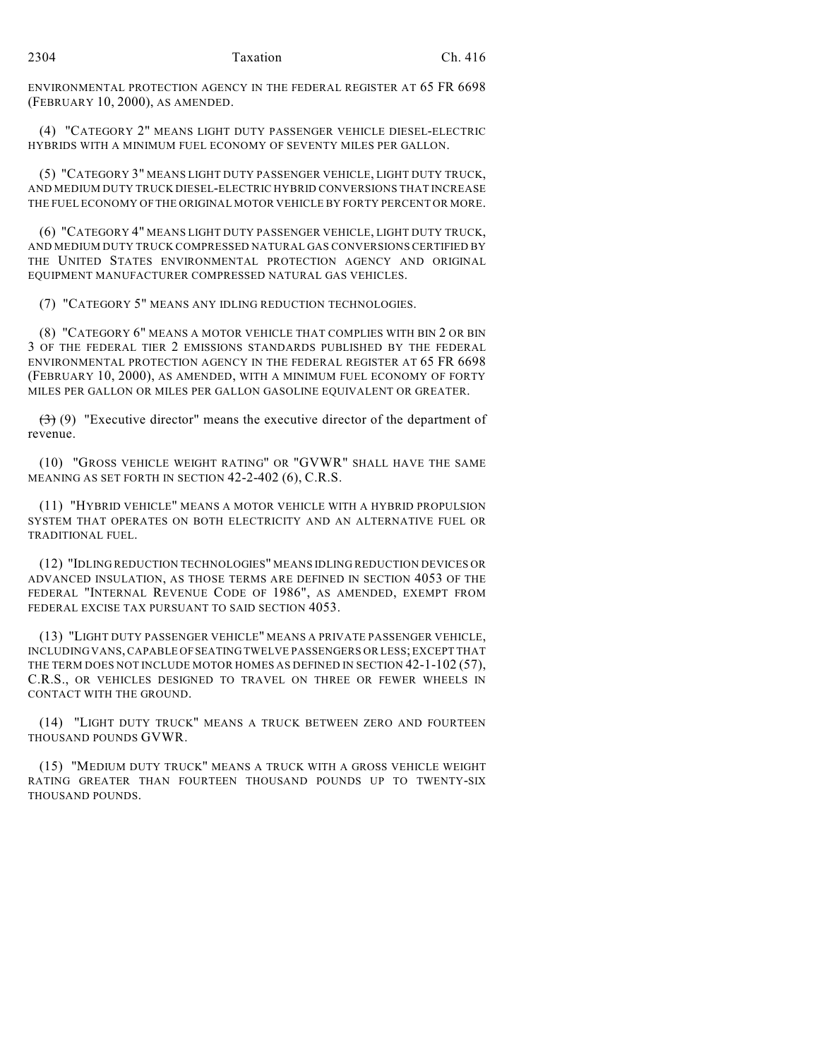ENVIRONMENTAL PROTECTION AGENCY IN THE FEDERAL REGISTER AT 65 FR 6698 (FEBRUARY 10, 2000), AS AMENDED.

(4) "CATEGORY 2" MEANS LIGHT DUTY PASSENGER VEHICLE DIESEL-ELECTRIC HYBRIDS WITH A MINIMUM FUEL ECONOMY OF SEVENTY MILES PER GALLON.

(5) "CATEGORY 3" MEANS LIGHT DUTY PASSENGER VEHICLE, LIGHT DUTY TRUCK, AND MEDIUM DUTY TRUCK DIESEL-ELECTRIC HYBRID CONVERSIONS THAT INCREASE THE FUEL ECONOMY OF THE ORIGINAL MOTOR VEHICLE BY FORTY PERCENT OR MORE.

(6) "CATEGORY 4" MEANS LIGHT DUTY PASSENGER VEHICLE, LIGHT DUTY TRUCK, AND MEDIUM DUTY TRUCK COMPRESSED NATURAL GAS CONVERSIONS CERTIFIED BY THE UNITED STATES ENVIRONMENTAL PROTECTION AGENCY AND ORIGINAL EQUIPMENT MANUFACTURER COMPRESSED NATURAL GAS VEHICLES.

(7) "CATEGORY 5" MEANS ANY IDLING REDUCTION TECHNOLOGIES.

(8) "CATEGORY 6" MEANS A MOTOR VEHICLE THAT COMPLIES WITH BIN 2 OR BIN 3 OF THE FEDERAL TIER 2 EMISSIONS STANDARDS PUBLISHED BY THE FEDERAL ENVIRONMENTAL PROTECTION AGENCY IN THE FEDERAL REGISTER AT 65 FR 6698 (FEBRUARY 10, 2000), AS AMENDED, WITH A MINIMUM FUEL ECONOMY OF FORTY MILES PER GALLON OR MILES PER GALLON GASOLINE EQUIVALENT OR GREATER.

 $(3)$  (9) "Executive director" means the executive director of the department of revenue.

(10) "GROSS VEHICLE WEIGHT RATING" OR "GVWR" SHALL HAVE THE SAME MEANING AS SET FORTH IN SECTION 42-2-402 (6), C.R.S.

(11) "HYBRID VEHICLE" MEANS A MOTOR VEHICLE WITH A HYBRID PROPULSION SYSTEM THAT OPERATES ON BOTH ELECTRICITY AND AN ALTERNATIVE FUEL OR TRADITIONAL FUEL.

(12) "IDLING REDUCTION TECHNOLOGIES" MEANS IDLING REDUCTION DEVICES OR ADVANCED INSULATION, AS THOSE TERMS ARE DEFINED IN SECTION 4053 OF THE FEDERAL "INTERNAL REVENUE CODE OF 1986", AS AMENDED, EXEMPT FROM FEDERAL EXCISE TAX PURSUANT TO SAID SECTION 4053.

(13) "LIGHT DUTY PASSENGER VEHICLE" MEANS A PRIVATE PASSENGER VEHICLE, INCLUDING VANS, CAPABLE OF SEATING TWELVE PASSENGERS OR LESS; EXCEPT THAT THE TERM DOES NOT INCLUDE MOTOR HOMES AS DEFINED IN SECTION 42-1-102 (57), C.R.S., OR VEHICLES DESIGNED TO TRAVEL ON THREE OR FEWER WHEELS IN CONTACT WITH THE GROUND.

(14) "LIGHT DUTY TRUCK" MEANS A TRUCK BETWEEN ZERO AND FOURTEEN THOUSAND POUNDS GVWR.

(15) "MEDIUM DUTY TRUCK" MEANS A TRUCK WITH A GROSS VEHICLE WEIGHT RATING GREATER THAN FOURTEEN THOUSAND POUNDS UP TO TWENTY-SIX THOUSAND POUNDS.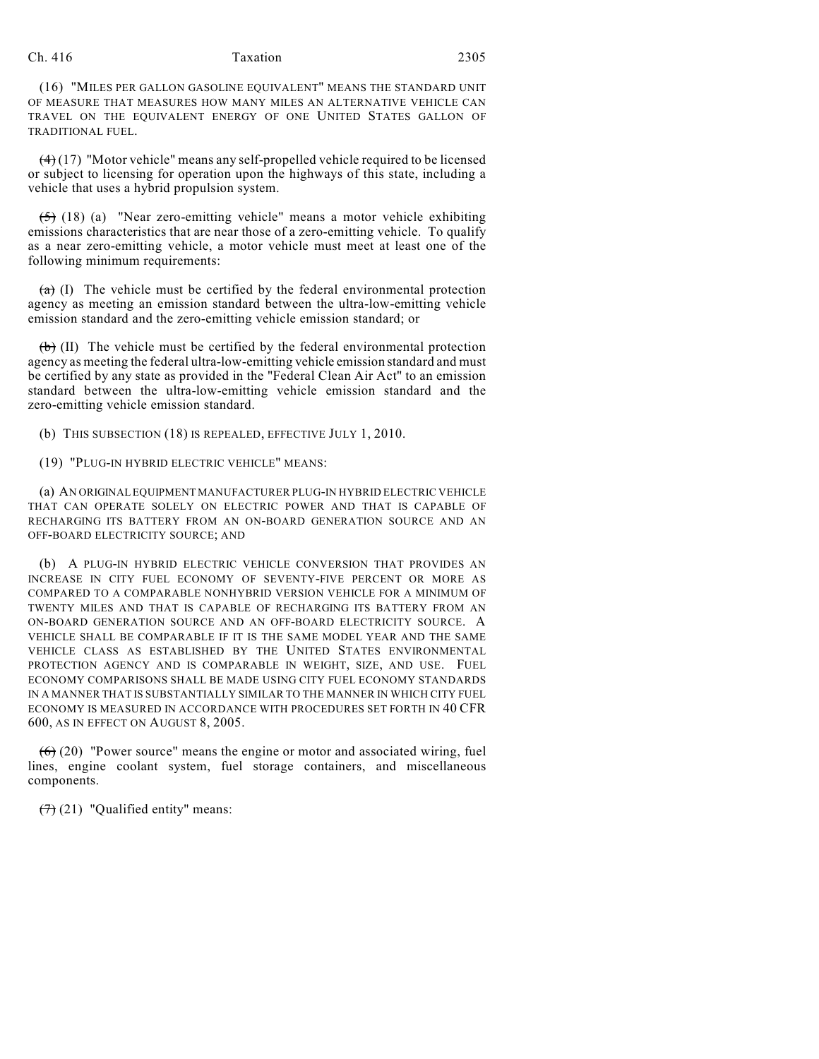## Ch. 416 Taxation 2305

(16) "MILES PER GALLON GASOLINE EQUIVALENT" MEANS THE STANDARD UNIT OF MEASURE THAT MEASURES HOW MANY MILES AN ALTERNATIVE VEHICLE CAN TRAVEL ON THE EQUIVALENT ENERGY OF ONE UNITED STATES GALLON OF TRADITIONAL FUEL.

 $(4)(17)$  "Motor vehicle" means any self-propelled vehicle required to be licensed or subject to licensing for operation upon the highways of this state, including a vehicle that uses a hybrid propulsion system.

 $(5)$  (18) (a) "Near zero-emitting vehicle" means a motor vehicle exhibiting emissions characteristics that are near those of a zero-emitting vehicle. To qualify as a near zero-emitting vehicle, a motor vehicle must meet at least one of the following minimum requirements:

 $(a)$  (I) The vehicle must be certified by the federal environmental protection agency as meeting an emission standard between the ultra-low-emitting vehicle emission standard and the zero-emitting vehicle emission standard; or

 $(b)$  (II) The vehicle must be certified by the federal environmental protection agency as meeting the federal ultra-low-emitting vehicle emission standard and must be certified by any state as provided in the "Federal Clean Air Act" to an emission standard between the ultra-low-emitting vehicle emission standard and the zero-emitting vehicle emission standard.

(b) THIS SUBSECTION (18) IS REPEALED, EFFECTIVE JULY 1, 2010.

(19) "PLUG-IN HYBRID ELECTRIC VEHICLE" MEANS:

(a) AN ORIGINAL EQUIPMENT MANUFACTURER PLUG-IN HYBRID ELECTRIC VEHICLE THAT CAN OPERATE SOLELY ON ELECTRIC POWER AND THAT IS CAPABLE OF RECHARGING ITS BATTERY FROM AN ON-BOARD GENERATION SOURCE AND AN OFF-BOARD ELECTRICITY SOURCE; AND

(b) A PLUG-IN HYBRID ELECTRIC VEHICLE CONVERSION THAT PROVIDES AN INCREASE IN CITY FUEL ECONOMY OF SEVENTY-FIVE PERCENT OR MORE AS COMPARED TO A COMPARABLE NONHYBRID VERSION VEHICLE FOR A MINIMUM OF TWENTY MILES AND THAT IS CAPABLE OF RECHARGING ITS BATTERY FROM AN ON-BOARD GENERATION SOURCE AND AN OFF-BOARD ELECTRICITY SOURCE. A VEHICLE SHALL BE COMPARABLE IF IT IS THE SAME MODEL YEAR AND THE SAME VEHICLE CLASS AS ESTABLISHED BY THE UNITED STATES ENVIRONMENTAL PROTECTION AGENCY AND IS COMPARABLE IN WEIGHT, SIZE, AND USE. FUEL ECONOMY COMPARISONS SHALL BE MADE USING CITY FUEL ECONOMY STANDARDS IN A MANNER THAT IS SUBSTANTIALLY SIMILAR TO THE MANNER IN WHICH CITY FUEL ECONOMY IS MEASURED IN ACCORDANCE WITH PROCEDURES SET FORTH IN 40 CFR 600, AS IN EFFECT ON AUGUST 8, 2005.

 $(6)$  (20) "Power source" means the engine or motor and associated wiring, fuel lines, engine coolant system, fuel storage containers, and miscellaneous components.

 $(7)$  (21) "Qualified entity" means: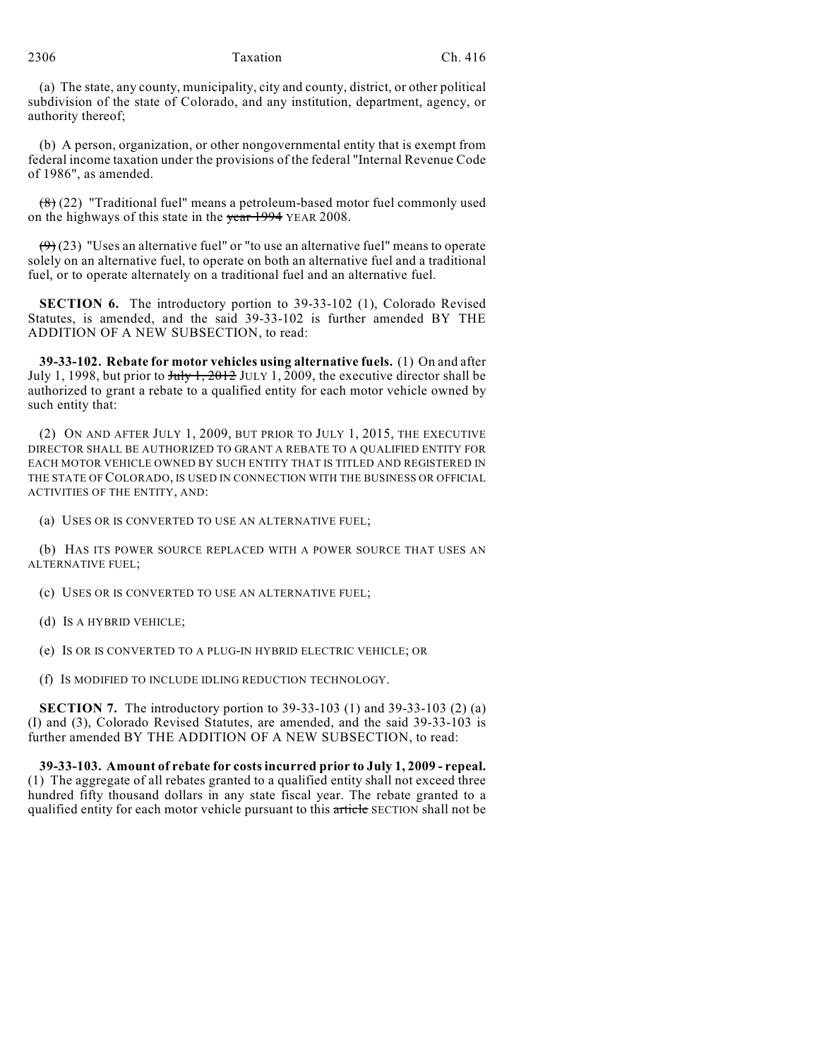#### 2306 Taxation Ch. 416

(a) The state, any county, municipality, city and county, district, or other political subdivision of the state of Colorado, and any institution, department, agency, or authority thereof;

(b) A person, organization, or other nongovernmental entity that is exempt from federal income taxation under the provisions of the federal "Internal Revenue Code of 1986", as amended.

 $(8)(22)$  "Traditional fuel" means a petroleum-based motor fuel commonly used on the highways of this state in the year 1994 YEAR 2008.

 $(9)$  (23) "Uses an alternative fuel" or "to use an alternative fuel" means to operate solely on an alternative fuel, to operate on both an alternative fuel and a traditional fuel, or to operate alternately on a traditional fuel and an alternative fuel.

**SECTION 6.** The introductory portion to 39-33-102 (1), Colorado Revised Statutes, is amended, and the said 39-33-102 is further amended BY THE ADDITION OF A NEW SUBSECTION, to read:

**39-33-102. Rebate for motor vehicles using alternative fuels.** (1) On and after July 1, 1998, but prior to  $\frac{\text{Juty 1, 2012}}{\text{JULY 1, 2009}}$ , the executive director shall be authorized to grant a rebate to a qualified entity for each motor vehicle owned by such entity that:

(2) ON AND AFTER JULY 1, 2009, BUT PRIOR TO JULY 1, 2015, THE EXECUTIVE DIRECTOR SHALL BE AUTHORIZED TO GRANT A REBATE TO A QUALIFIED ENTITY FOR EACH MOTOR VEHICLE OWNED BY SUCH ENTITY THAT IS TITLED AND REGISTERED IN THE STATE OF COLORADO, IS USED IN CONNECTION WITH THE BUSINESS OR OFFICIAL ACTIVITIES OF THE ENTITY, AND:

(a) USES OR IS CONVERTED TO USE AN ALTERNATIVE FUEL;

(b) HAS ITS POWER SOURCE REPLACED WITH A POWER SOURCE THAT USES AN ALTERNATIVE FUEL;

(c) USES OR IS CONVERTED TO USE AN ALTERNATIVE FUEL;

(d) IS A HYBRID VEHICLE;

(e) IS OR IS CONVERTED TO A PLUG-IN HYBRID ELECTRIC VEHICLE; OR

(f) IS MODIFIED TO INCLUDE IDLING REDUCTION TECHNOLOGY.

**SECTION 7.** The introductory portion to 39-33-103 (1) and 39-33-103 (2) (a) (I) and (3), Colorado Revised Statutes, are amended, and the said 39-33-103 is further amended BY THE ADDITION OF A NEW SUBSECTION, to read:

**39-33-103. Amount of rebate for costs incurred prior to July 1, 2009 - repeal.** (1) The aggregate of all rebates granted to a qualified entity shall not exceed three hundred fifty thousand dollars in any state fiscal year. The rebate granted to a qualified entity for each motor vehicle pursuant to this article SECTION shall not be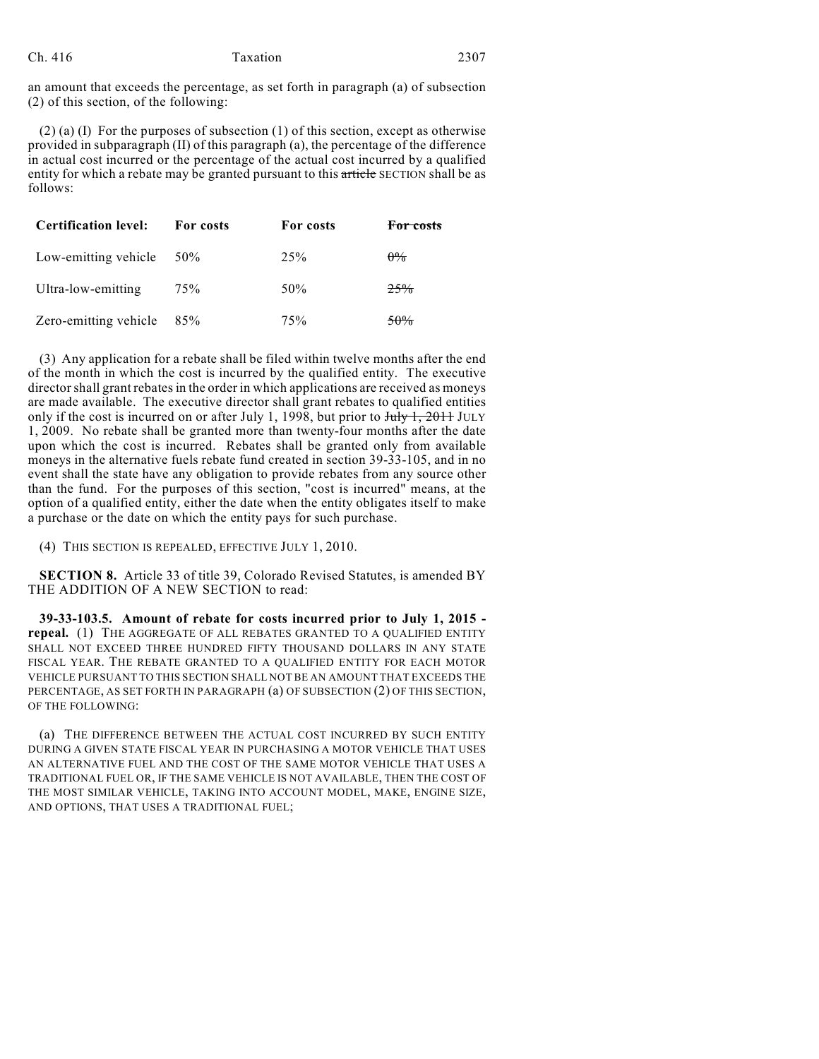an amount that exceeds the percentage, as set forth in paragraph (a) of subsection (2) of this section, of the following:

(2) (a) (I) For the purposes of subsection (1) of this section, except as otherwise provided in subparagraph (II) of this paragraph (a), the percentage of the difference in actual cost incurred or the percentage of the actual cost incurred by a qualified entity for which a rebate may be granted pursuant to this article SECTION shall be as follows:

| <b>Certification level:</b> | For costs | For costs | For costs      |
|-----------------------------|-----------|-----------|----------------|
| Low-emitting vehicle        | 50%       | $2.5\%$   | $0\%$          |
| Ultra-low-emitting          | 75%       | 50%       | 25%            |
| Zero-emitting vehicle       | 85%       | 75%       | <del>50%</del> |

(3) Any application for a rebate shall be filed within twelve months after the end of the month in which the cost is incurred by the qualified entity. The executive director shall grant rebates in the order in which applications are received as moneys are made available. The executive director shall grant rebates to qualified entities only if the cost is incurred on or after July 1, 1998, but prior to  $\frac{\text{July }1, 2011}{\text{ULY}}$ 1, 2009. No rebate shall be granted more than twenty-four months after the date upon which the cost is incurred. Rebates shall be granted only from available moneys in the alternative fuels rebate fund created in section 39-33-105, and in no event shall the state have any obligation to provide rebates from any source other than the fund. For the purposes of this section, "cost is incurred" means, at the option of a qualified entity, either the date when the entity obligates itself to make a purchase or the date on which the entity pays for such purchase.

(4) THIS SECTION IS REPEALED, EFFECTIVE JULY 1, 2010.

**SECTION 8.** Article 33 of title 39, Colorado Revised Statutes, is amended BY THE ADDITION OF A NEW SECTION to read:

**39-33-103.5. Amount of rebate for costs incurred prior to July 1, 2015 repeal.** (1) THE AGGREGATE OF ALL REBATES GRANTED TO A QUALIFIED ENTITY SHALL NOT EXCEED THREE HUNDRED FIFTY THOUSAND DOLLARS IN ANY STATE FISCAL YEAR. THE REBATE GRANTED TO A QUALIFIED ENTITY FOR EACH MOTOR VEHICLE PURSUANT TO THIS SECTION SHALL NOT BE AN AMOUNT THAT EXCEEDS THE PERCENTAGE, AS SET FORTH IN PARAGRAPH (a) OF SUBSECTION (2) OF THIS SECTION, OF THE FOLLOWING:

(a) THE DIFFERENCE BETWEEN THE ACTUAL COST INCURRED BY SUCH ENTITY DURING A GIVEN STATE FISCAL YEAR IN PURCHASING A MOTOR VEHICLE THAT USES AN ALTERNATIVE FUEL AND THE COST OF THE SAME MOTOR VEHICLE THAT USES A TRADITIONAL FUEL OR, IF THE SAME VEHICLE IS NOT AVAILABLE, THEN THE COST OF THE MOST SIMILAR VEHICLE, TAKING INTO ACCOUNT MODEL, MAKE, ENGINE SIZE, AND OPTIONS, THAT USES A TRADITIONAL FUEL;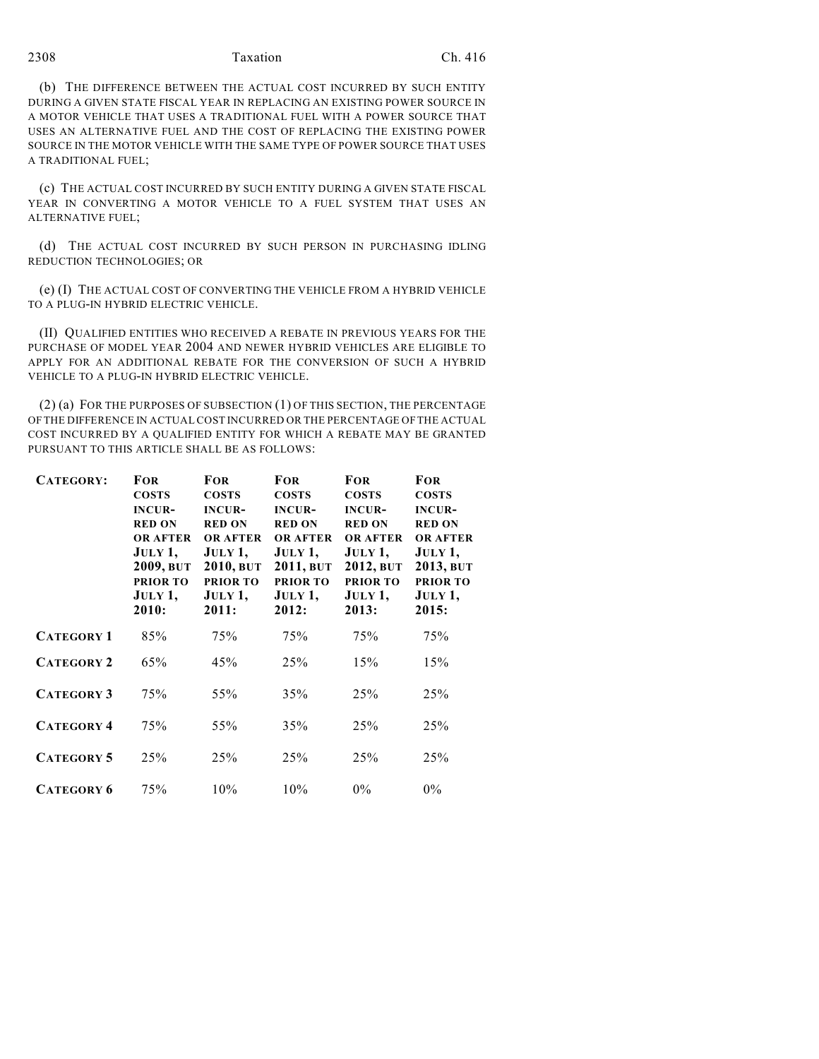## 2308 Taxation Ch. 416

(b) THE DIFFERENCE BETWEEN THE ACTUAL COST INCURRED BY SUCH ENTITY DURING A GIVEN STATE FISCAL YEAR IN REPLACING AN EXISTING POWER SOURCE IN A MOTOR VEHICLE THAT USES A TRADITIONAL FUEL WITH A POWER SOURCE THAT USES AN ALTERNATIVE FUEL AND THE COST OF REPLACING THE EXISTING POWER SOURCE IN THE MOTOR VEHICLE WITH THE SAME TYPE OF POWER SOURCE THAT USES A TRADITIONAL FUEL;

(c) THE ACTUAL COST INCURRED BY SUCH ENTITY DURING A GIVEN STATE FISCAL YEAR IN CONVERTING A MOTOR VEHICLE TO A FUEL SYSTEM THAT USES AN ALTERNATIVE FUEL;

(d) THE ACTUAL COST INCURRED BY SUCH PERSON IN PURCHASING IDLING REDUCTION TECHNOLOGIES; OR

(e) (I) THE ACTUAL COST OF CONVERTING THE VEHICLE FROM A HYBRID VEHICLE TO A PLUG-IN HYBRID ELECTRIC VEHICLE.

(II) QUALIFIED ENTITIES WHO RECEIVED A REBATE IN PREVIOUS YEARS FOR THE PURCHASE OF MODEL YEAR 2004 AND NEWER HYBRID VEHICLES ARE ELIGIBLE TO APPLY FOR AN ADDITIONAL REBATE FOR THE CONVERSION OF SUCH A HYBRID VEHICLE TO A PLUG-IN HYBRID ELECTRIC VEHICLE.

(2) (a) FOR THE PURPOSES OF SUBSECTION (1) OF THIS SECTION, THE PERCENTAGE OF THE DIFFERENCE IN ACTUAL COST INCURRED OR THE PERCENTAGE OF THE ACTUAL COST INCURRED BY A QUALIFIED ENTITY FOR WHICH A REBATE MAY BE GRANTED PURSUANT TO THIS ARTICLE SHALL BE AS FOLLOWS:

| CATEGORY:         | <b>FOR</b><br><b>COSTS</b><br><b>INCUR-</b><br><b>RED ON</b><br><b>OR AFTER</b><br>JULY 1,<br>2009, BUT<br><b>PRIOR TO</b><br>JULY 1,<br>2010: | <b>FOR</b><br><b>COSTS</b><br><b>INCUR-</b><br><b>RED ON</b><br><b>OR AFTER</b><br>JULY 1,<br>2010, BUT<br><b>PRIOR TO</b><br>JULY 1,<br>2011: | <b>FOR</b><br><b>COSTS</b><br><b>INCUR-</b><br><b>RED ON</b><br><b>OR AFTER</b><br>JULY1,<br>2011, BUT<br><b>PRIOR TO</b><br>JULY 1,<br>2012: | <b>FOR</b><br><b>COSTS</b><br><b>INCUR-</b><br><b>RED ON</b><br><b>OR AFTER</b><br>JULY1,<br>2012, BUT<br><b>PRIOR TO</b><br>JULY 1,<br>2013: | <b>FOR</b><br><b>COSTS</b><br><b>INCUR-</b><br><b>RED ON</b><br><b>OR AFTER</b><br>JULY 1,<br>2013, BUT<br><b>PRIOR TO</b><br>JULY 1,<br>2015: |
|-------------------|------------------------------------------------------------------------------------------------------------------------------------------------|------------------------------------------------------------------------------------------------------------------------------------------------|-----------------------------------------------------------------------------------------------------------------------------------------------|-----------------------------------------------------------------------------------------------------------------------------------------------|------------------------------------------------------------------------------------------------------------------------------------------------|
| <b>CATEGORY 1</b> | 85%                                                                                                                                            | 75%                                                                                                                                            | 75%                                                                                                                                           | 75%                                                                                                                                           | 75%                                                                                                                                            |
| <b>CATEGORY 2</b> | 65%                                                                                                                                            | 45%                                                                                                                                            | 25%                                                                                                                                           | 15%                                                                                                                                           | 15%                                                                                                                                            |
| <b>CATEGORY 3</b> | 75%                                                                                                                                            | 55%                                                                                                                                            | 35%                                                                                                                                           | 25%                                                                                                                                           | 25%                                                                                                                                            |
| <b>CATEGORY 4</b> | 75%                                                                                                                                            | 55%                                                                                                                                            | 35%                                                                                                                                           | 25%                                                                                                                                           | 25%                                                                                                                                            |
| <b>CATEGORY 5</b> | 25%                                                                                                                                            | 25%                                                                                                                                            | 25%                                                                                                                                           | 25%                                                                                                                                           | 25%                                                                                                                                            |
| <b>CATEGORY 6</b> | 75%                                                                                                                                            | 10%                                                                                                                                            | 10%                                                                                                                                           | $0\%$                                                                                                                                         | $0\%$                                                                                                                                          |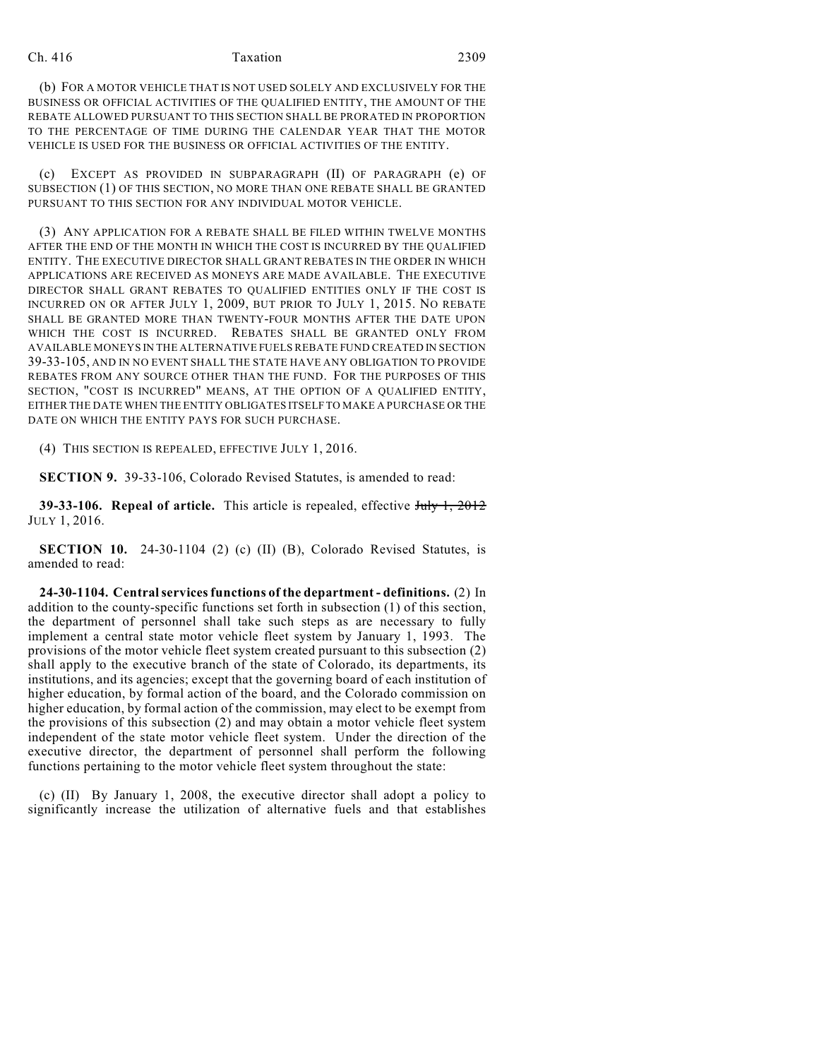#### Ch. 416 Taxation 2309

(b) FOR A MOTOR VEHICLE THAT IS NOT USED SOLELY AND EXCLUSIVELY FOR THE BUSINESS OR OFFICIAL ACTIVITIES OF THE QUALIFIED ENTITY, THE AMOUNT OF THE REBATE ALLOWED PURSUANT TO THIS SECTION SHALL BE PRORATED IN PROPORTION TO THE PERCENTAGE OF TIME DURING THE CALENDAR YEAR THAT THE MOTOR VEHICLE IS USED FOR THE BUSINESS OR OFFICIAL ACTIVITIES OF THE ENTITY.

(c) EXCEPT AS PROVIDED IN SUBPARAGRAPH (II) OF PARAGRAPH (e) OF SUBSECTION (1) OF THIS SECTION, NO MORE THAN ONE REBATE SHALL BE GRANTED PURSUANT TO THIS SECTION FOR ANY INDIVIDUAL MOTOR VEHICLE.

(3) ANY APPLICATION FOR A REBATE SHALL BE FILED WITHIN TWELVE MONTHS AFTER THE END OF THE MONTH IN WHICH THE COST IS INCURRED BY THE QUALIFIED ENTITY. THE EXECUTIVE DIRECTOR SHALL GRANT REBATES IN THE ORDER IN WHICH APPLICATIONS ARE RECEIVED AS MONEYS ARE MADE AVAILABLE. THE EXECUTIVE DIRECTOR SHALL GRANT REBATES TO QUALIFIED ENTITIES ONLY IF THE COST IS INCURRED ON OR AFTER JULY 1, 2009, BUT PRIOR TO JULY 1, 2015. NO REBATE SHALL BE GRANTED MORE THAN TWENTY-FOUR MONTHS AFTER THE DATE UPON WHICH THE COST IS INCURRED. REBATES SHALL BE GRANTED ONLY FROM AVAILABLE MONEYS IN THE ALTERNATIVE FUELS REBATE FUND CREATED IN SECTION 39-33-105, AND IN NO EVENT SHALL THE STATE HAVE ANY OBLIGATION TO PROVIDE REBATES FROM ANY SOURCE OTHER THAN THE FUND. FOR THE PURPOSES OF THIS SECTION, "COST IS INCURRED" MEANS, AT THE OPTION OF A QUALIFIED ENTITY, EITHER THE DATE WHEN THE ENTITY OBLIGATES ITSELF TO MAKE A PURCHASE OR THE DATE ON WHICH THE ENTITY PAYS FOR SUCH PURCHASE.

(4) THIS SECTION IS REPEALED, EFFECTIVE JULY 1, 2016.

**SECTION 9.** 39-33-106, Colorado Revised Statutes, is amended to read:

**39-33-106. Repeal of article.** This article is repealed, effective July 1, 2012 JULY 1, 2016.

**SECTION 10.** 24-30-1104 (2) (c) (II) (B), Colorado Revised Statutes, is amended to read:

**24-30-1104. Central services functions of the department - definitions.** (2) In addition to the county-specific functions set forth in subsection (1) of this section, the department of personnel shall take such steps as are necessary to fully implement a central state motor vehicle fleet system by January 1, 1993. The provisions of the motor vehicle fleet system created pursuant to this subsection (2) shall apply to the executive branch of the state of Colorado, its departments, its institutions, and its agencies; except that the governing board of each institution of higher education, by formal action of the board, and the Colorado commission on higher education, by formal action of the commission, may elect to be exempt from the provisions of this subsection (2) and may obtain a motor vehicle fleet system independent of the state motor vehicle fleet system. Under the direction of the executive director, the department of personnel shall perform the following functions pertaining to the motor vehicle fleet system throughout the state:

(c) (II) By January 1, 2008, the executive director shall adopt a policy to significantly increase the utilization of alternative fuels and that establishes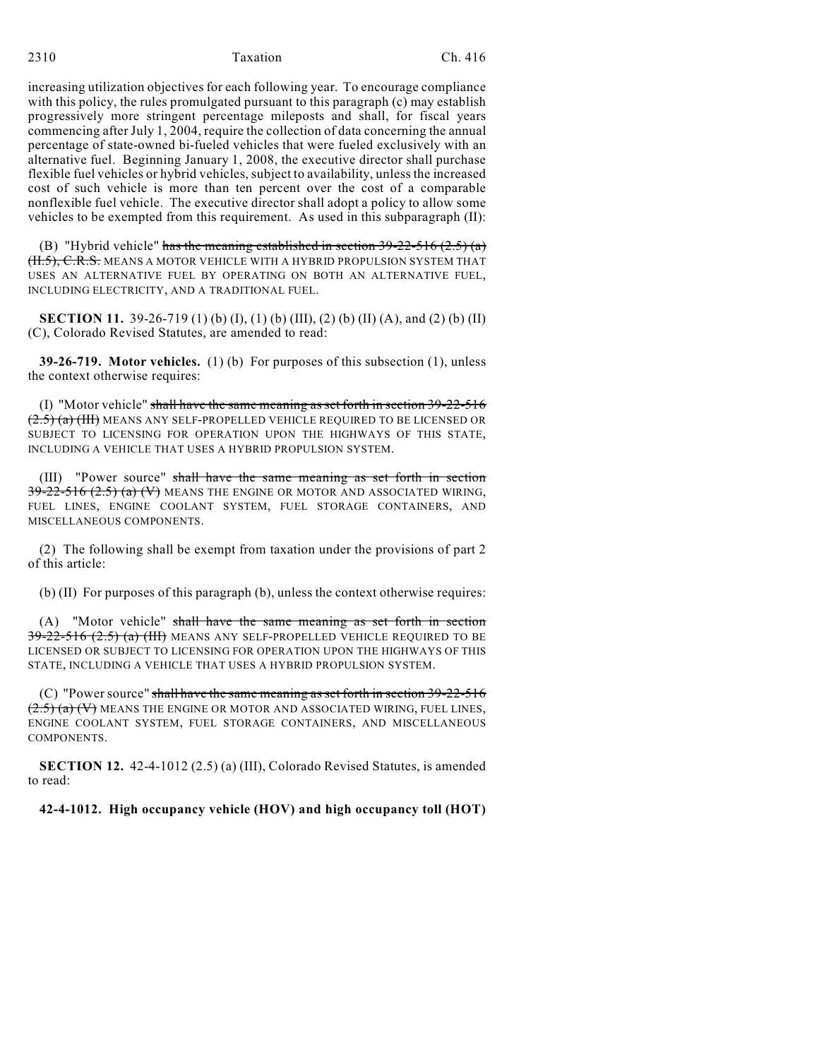increasing utilization objectives for each following year. To encourage compliance with this policy, the rules promulgated pursuant to this paragraph (c) may establish progressively more stringent percentage mileposts and shall, for fiscal years commencing after July 1, 2004, require the collection of data concerning the annual percentage of state-owned bi-fueled vehicles that were fueled exclusively with an alternative fuel. Beginning January 1, 2008, the executive director shall purchase flexible fuel vehicles or hybrid vehicles, subject to availability, unless the increased cost of such vehicle is more than ten percent over the cost of a comparable nonflexible fuel vehicle. The executive director shall adopt a policy to allow some vehicles to be exempted from this requirement. As used in this subparagraph (II):

(B) "Hybrid vehicle" has the meaning established in section  $39-22-516$  (2.5) (a) <del>(II.5), C.R.S.</del> means a motor vehicle with a hybrid propulsion system that USES AN ALTERNATIVE FUEL BY OPERATING ON BOTH AN ALTERNATIVE FUEL, INCLUDING ELECTRICITY, AND A TRADITIONAL FUEL.

**SECTION 11.** 39-26-719 (1) (b) (I), (1) (b) (III), (2) (b) (II) (A), and (2) (b) (II) (C), Colorado Revised Statutes, are amended to read:

**39-26-719. Motor vehicles.** (1) (b) For purposes of this subsection (1), unless the context otherwise requires:

(I) "Motor vehicle" shall have the same meaning as set forth in section  $39-22-516$  $(2.5)$  (a) (III) MEANS ANY SELF-PROPELLED VEHICLE REQUIRED TO BE LICENSED OR SUBJECT TO LICENSING FOR OPERATION UPON THE HIGHWAYS OF THIS STATE, INCLUDING A VEHICLE THAT USES A HYBRID PROPULSION SYSTEM.

(III) "Power source" shall have the same meaning as set forth in section  $39-22-516$   $(2.5)$   $(a)$   $(V)$  means the engine or motor and associated wiring, FUEL LINES, ENGINE COOLANT SYSTEM, FUEL STORAGE CONTAINERS, AND MISCELLANEOUS COMPONENTS.

(2) The following shall be exempt from taxation under the provisions of part 2 of this article:

(b) (II) For purposes of this paragraph (b), unless the context otherwise requires:

(A) "Motor vehicle" shall have the same meaning as set forth in section  $39-22-516$   $(2.5)$   $(a)$   $(HH)$  means any self-propelled vehicle required to be LICENSED OR SUBJECT TO LICENSING FOR OPERATION UPON THE HIGHWAYS OF THIS STATE, INCLUDING A VEHICLE THAT USES A HYBRID PROPULSION SYSTEM.

(C) "Power source" shall have the same meaning as set forth in section 39-22-516  $(2.5)$  (a) (V) MEANS THE ENGINE OR MOTOR AND ASSOCIATED WIRING, FUEL LINES, ENGINE COOLANT SYSTEM, FUEL STORAGE CONTAINERS, AND MISCELLANEOUS COMPONENTS.

**SECTION 12.** 42-4-1012 (2.5) (a) (III), Colorado Revised Statutes, is amended to read:

#### **42-4-1012. High occupancy vehicle (HOV) and high occupancy toll (HOT)**